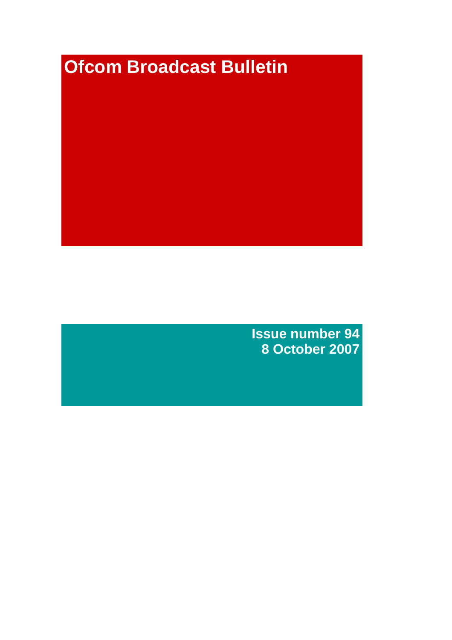# **Ofcom Broadcast Bulletin**

**Issue number 94 8 October 2007**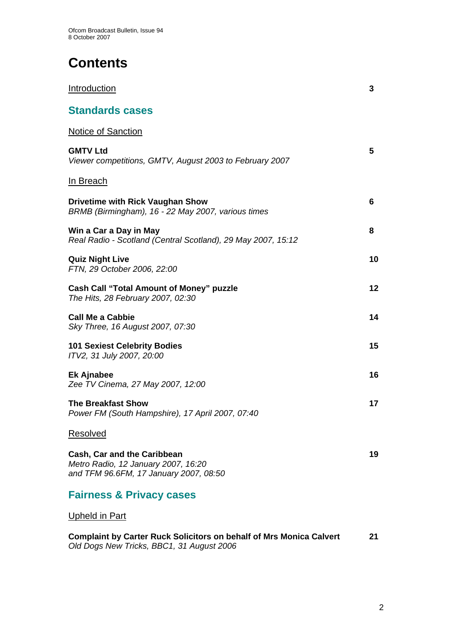# **Contents**

| <b>Introduction</b>                                                                                          | 3  |
|--------------------------------------------------------------------------------------------------------------|----|
| <b>Standards cases</b>                                                                                       |    |
| <b>Notice of Sanction</b>                                                                                    |    |
| <b>GMTV Ltd</b><br>Viewer competitions, GMTV, August 2003 to February 2007                                   | 5  |
| <b>In Breach</b>                                                                                             |    |
| <b>Drivetime with Rick Vaughan Show</b><br>BRMB (Birmingham), 16 - 22 May 2007, various times                | 6  |
| Win a Car a Day in May<br>Real Radio - Scotland (Central Scotland), 29 May 2007, 15:12                       | 8  |
| <b>Quiz Night Live</b><br>FTN, 29 October 2006, 22:00                                                        | 10 |
| <b>Cash Call "Total Amount of Money" puzzle</b><br>The Hits, 28 February 2007, 02:30                         | 12 |
| <b>Call Me a Cabbie</b><br>Sky Three, 16 August 2007, 07:30                                                  | 14 |
| <b>101 Sexiest Celebrity Bodies</b><br>ITV2, 31 July 2007, 20:00                                             | 15 |
| <b>Ek Ajnabee</b><br>Zee TV Cinema, 27 May 2007, 12:00                                                       | 16 |
| <b>The Breakfast Show</b><br>Power FM (South Hampshire), 17 April 2007, 07:40                                | 17 |
| <b>Resolved</b>                                                                                              |    |
| Cash, Car and the Caribbean<br>Metro Radio, 12 January 2007, 16:20<br>and TFM 96.6FM, 17 January 2007, 08:50 | 19 |
| <b>Fairness &amp; Privacy cases</b>                                                                          |    |
| <b>Upheld in Part</b>                                                                                        |    |

**Complaint by Carter Ruck Solicitors on behalf of Mrs Monica Calvert 21**  *Old Dogs New Tricks, BBC1, 31 August 2006*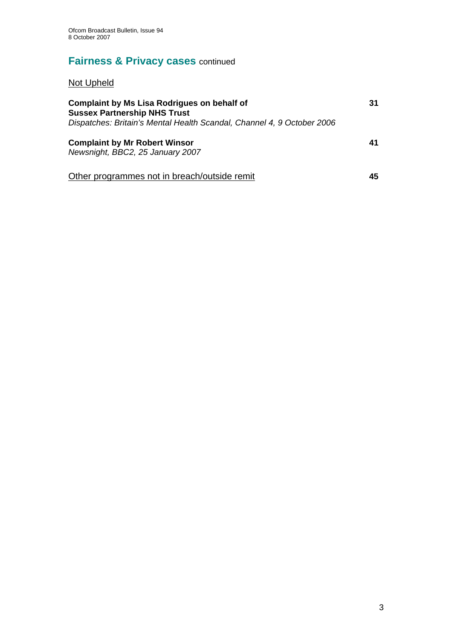# **Fairness & Privacy cases** continued

Not Upheld

| <b>Complaint by Ms Lisa Rodrigues on behalf of</b><br><b>Sussex Partnership NHS Trust</b><br>Dispatches: Britain's Mental Health Scandal, Channel 4, 9 October 2006 |    |  |  |
|---------------------------------------------------------------------------------------------------------------------------------------------------------------------|----|--|--|
| <b>Complaint by Mr Robert Winsor</b><br>Newsnight, BBC2, 25 January 2007                                                                                            | 41 |  |  |
| Other programmes not in breach/outside remit                                                                                                                        | 45 |  |  |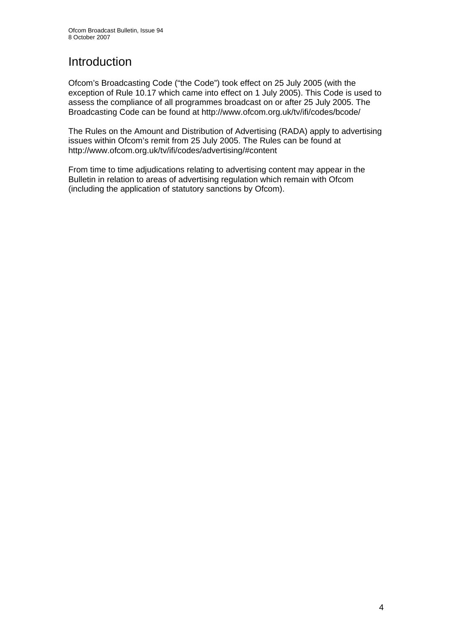# Introduction

Ofcom's Broadcasting Code ("the Code") took effect on 25 July 2005 (with the exception of Rule 10.17 which came into effect on 1 July 2005). This Code is used to assess the compliance of all programmes broadcast on or after 25 July 2005. The Broadcasting Code can be found at http://www.ofcom.org.uk/tv/ifi/codes/bcode/

The Rules on the Amount and Distribution of Advertising (RADA) apply to advertising issues within Ofcom's remit from 25 July 2005. The Rules can be found at http://www.ofcom.org.uk/tv/ifi/codes/advertising/#content

From time to time adjudications relating to advertising content may appear in the Bulletin in relation to areas of advertising regulation which remain with Ofcom (including the application of statutory sanctions by Ofcom).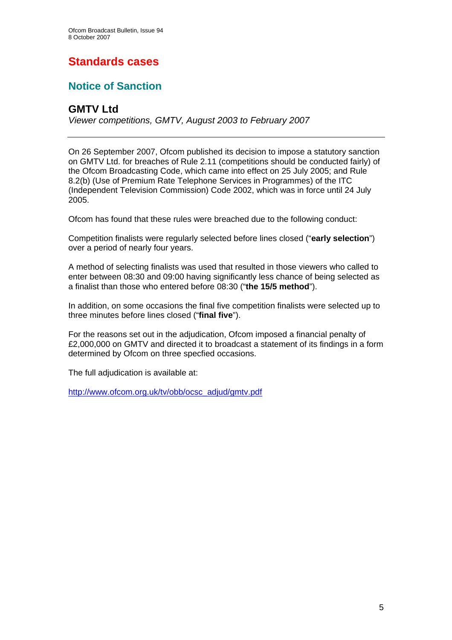# **Standards cases**

## **Notice of Sanction**

## **GMTV Ltd**

*Viewer competitions, GMTV, August 2003 to February 2007* 

On 26 September 2007, Ofcom published its decision to impose a statutory sanction on GMTV Ltd. for breaches of Rule 2.11 (competitions should be conducted fairly) of the Ofcom Broadcasting Code, which came into effect on 25 July 2005; and Rule 8.2(b) (Use of Premium Rate Telephone Services in Programmes) of the ITC (Independent Television Commission) Code 2002, which was in force until 24 July 2005.

Ofcom has found that these rules were breached due to the following conduct:

Competition finalists were regularly selected before lines closed ("**early selection**") over a period of nearly four years.

A method of selecting finalists was used that resulted in those viewers who called to enter between 08:30 and 09:00 having significantly less chance of being selected as a finalist than those who entered before 08:30 ("**the 15/5 method**").

In addition, on some occasions the final five competition finalists were selected up to three minutes before lines closed ("**final five**").

For the reasons set out in the adjudication, Ofcom imposed a financial penalty of £2,000,000 on GMTV and directed it to broadcast a statement of its findings in a form determined by Ofcom on three specfied occasions.

The full adjudication is available at:

http://www.ofcom.org.uk/tv/obb/ocsc\_adjud/gmtv.pdf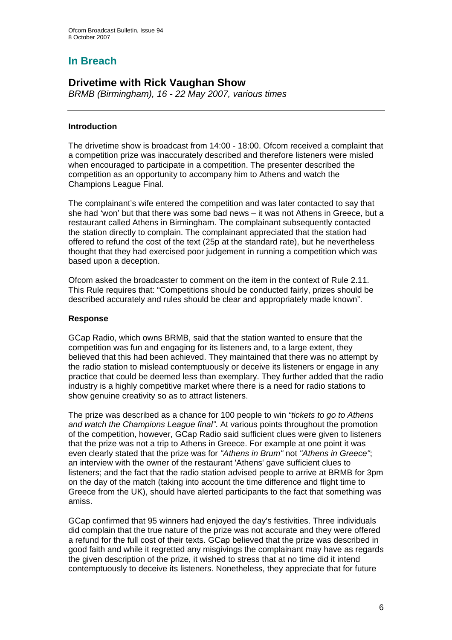## **In Breach**

## **Drivetime with Rick Vaughan Show**

*BRMB (Birmingham), 16 - 22 May 2007, various times* 

## **Introduction**

The drivetime show is broadcast from 14:00 - 18:00. Ofcom received a complaint that a competition prize was inaccurately described and therefore listeners were misled when encouraged to participate in a competition. The presenter described the competition as an opportunity to accompany him to Athens and watch the Champions League Final.

The complainant's wife entered the competition and was later contacted to say that she had 'won' but that there was some bad news – it was not Athens in Greece, but a restaurant called Athens in Birmingham. The complainant subsequently contacted the station directly to complain. The complainant appreciated that the station had offered to refund the cost of the text (25p at the standard rate), but he nevertheless thought that they had exercised poor judgement in running a competition which was based upon a deception.

Ofcom asked the broadcaster to comment on the item in the context of Rule 2.11. This Rule requires that: "Competitions should be conducted fairly, prizes should be described accurately and rules should be clear and appropriately made known".

## **Response**

GCap Radio, which owns BRMB, said that the station wanted to ensure that the competition was fun and engaging for its listeners and, to a large extent, they believed that this had been achieved. They maintained that there was no attempt by the radio station to mislead contemptuously or deceive its listeners or engage in any practice that could be deemed less than exemplary. They further added that the radio industry is a highly competitive market where there is a need for radio stations to show genuine creativity so as to attract listeners.

The prize was described as a chance for 100 people to win *"tickets to go to Athens and watch the Champions League final"*. At various points throughout the promotion of the competition, however, GCap Radio said sufficient clues were given to listeners that the prize was not a trip to Athens in Greece. For example at one point it was even clearly stated that the prize was for *"Athens in Brum"* not *"Athens in Greece"*; an interview with the owner of the restaurant 'Athens' gave sufficient clues to listeners; and the fact that the radio station advised people to arrive at BRMB for 3pm on the day of the match (taking into account the time difference and flight time to Greece from the UK), should have alerted participants to the fact that something was amiss.

GCap confirmed that 95 winners had enjoyed the day's festivities. Three individuals did complain that the true nature of the prize was not accurate and they were offered a refund for the full cost of their texts. GCap believed that the prize was described in good faith and while it regretted any misgivings the complainant may have as regards the given description of the prize, it wished to stress that at no time did it intend contemptuously to deceive its listeners. Nonetheless, they appreciate that for future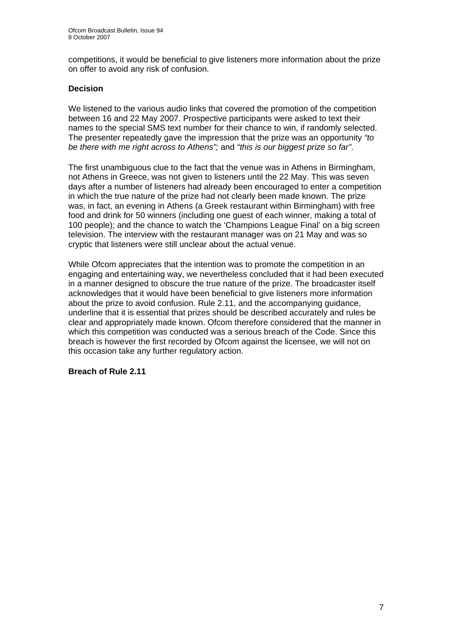competitions, it would be beneficial to give listeners more information about the prize on offer to avoid any risk of confusion.

## **Decision**

We listened to the various audio links that covered the promotion of the competition between 16 and 22 May 2007. Prospective participants were asked to text their names to the special SMS text number for their chance to win, if randomly selected. The presenter repeatedly gave the impression that the prize was an opportunity *"to be there with me right across to Athens";* and *"this is our biggest prize so far"*.

The first unambiguous clue to the fact that the venue was in Athens in Birmingham, not Athens in Greece, was not given to listeners until the 22 May. This was seven days after a number of listeners had already been encouraged to enter a competition in which the true nature of the prize had not clearly been made known. The prize was, in fact, an evening in Athens (a Greek restaurant within Birmingham) with free food and drink for 50 winners (including one guest of each winner, making a total of 100 people); and the chance to watch the 'Champions League Final' on a big screen television. The interview with the restaurant manager was on 21 May and was so cryptic that listeners were still unclear about the actual venue.

While Ofcom appreciates that the intention was to promote the competition in an engaging and entertaining way, we nevertheless concluded that it had been executed in a manner designed to obscure the true nature of the prize. The broadcaster itself acknowledges that it would have been beneficial to give listeners more information about the prize to avoid confusion. Rule 2.11, and the accompanying guidance, underline that it is essential that prizes should be described accurately and rules be clear and appropriately made known. Ofcom therefore considered that the manner in which this competition was conducted was a serious breach of the Code. Since this breach is however the first recorded by Ofcom against the licensee, we will not on this occasion take any further regulatory action.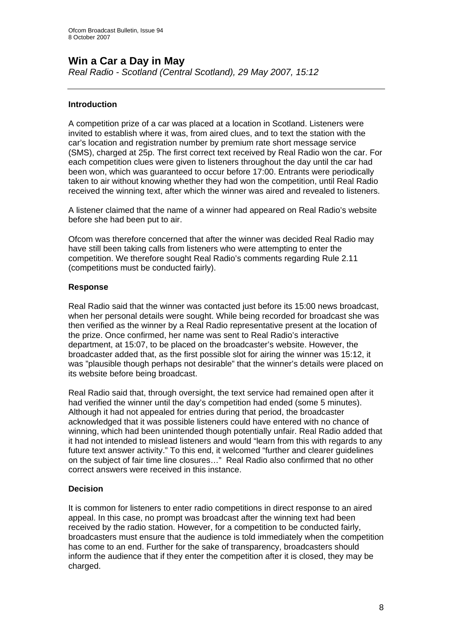## **Win a Car a Day in May**

*Real Radio - Scotland (Central Scotland), 29 May 2007, 15:12* 

## **Introduction**

A competition prize of a car was placed at a location in Scotland. Listeners were invited to establish where it was, from aired clues, and to text the station with the car's location and registration number by premium rate short message service (SMS), charged at 25p. The first correct text received by Real Radio won the car. For each competition clues were given to listeners throughout the day until the car had been won, which was guaranteed to occur before 17:00. Entrants were periodically taken to air without knowing whether they had won the competition, until Real Radio received the winning text, after which the winner was aired and revealed to listeners.

A listener claimed that the name of a winner had appeared on Real Radio's website before she had been put to air.

Ofcom was therefore concerned that after the winner was decided Real Radio may have still been taking calls from listeners who were attempting to enter the competition. We therefore sought Real Radio's comments regarding Rule 2.11 (competitions must be conducted fairly).

## **Response**

Real Radio said that the winner was contacted just before its 15:00 news broadcast, when her personal details were sought. While being recorded for broadcast she was then verified as the winner by a Real Radio representative present at the location of the prize. Once confirmed, her name was sent to Real Radio's interactive department, at 15:07, to be placed on the broadcaster's website. However, the broadcaster added that, as the first possible slot for airing the winner was 15:12, it was "plausible though perhaps not desirable" that the winner's details were placed on its website before being broadcast.

Real Radio said that, through oversight, the text service had remained open after it had verified the winner until the day's competition had ended (some 5 minutes). Although it had not appealed for entries during that period, the broadcaster acknowledged that it was possible listeners could have entered with no chance of winning, which had been unintended though potentially unfair. Real Radio added that it had not intended to mislead listeners and would "learn from this with regards to any future text answer activity." To this end, it welcomed "further and clearer guidelines on the subject of fair time line closures…" Real Radio also confirmed that no other correct answers were received in this instance.

## **Decision**

It is common for listeners to enter radio competitions in direct response to an aired appeal. In this case, no prompt was broadcast after the winning text had been received by the radio station. However, for a competition to be conducted fairly, broadcasters must ensure that the audience is told immediately when the competition has come to an end. Further for the sake of transparency, broadcasters should inform the audience that if they enter the competition after it is closed, they may be charged.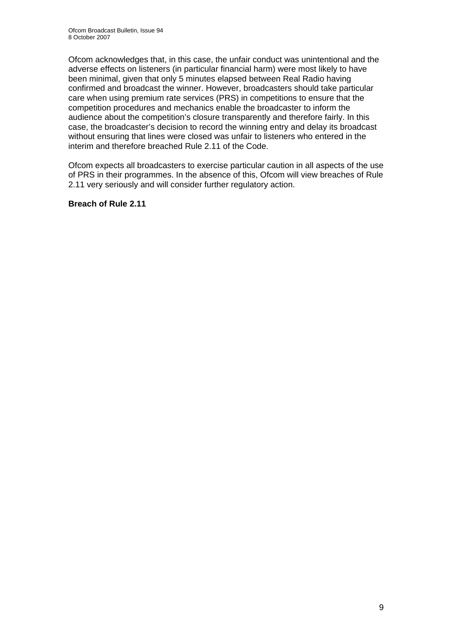Ofcom acknowledges that, in this case, the unfair conduct was unintentional and the adverse effects on listeners (in particular financial harm) were most likely to have been minimal, given that only 5 minutes elapsed between Real Radio having confirmed and broadcast the winner. However, broadcasters should take particular care when using premium rate services (PRS) in competitions to ensure that the competition procedures and mechanics enable the broadcaster to inform the audience about the competition's closure transparently and therefore fairly. In this case, the broadcaster's decision to record the winning entry and delay its broadcast without ensuring that lines were closed was unfair to listeners who entered in the interim and therefore breached Rule 2.11 of the Code.

Ofcom expects all broadcasters to exercise particular caution in all aspects of the use of PRS in their programmes. In the absence of this, Ofcom will view breaches of Rule 2.11 very seriously and will consider further regulatory action.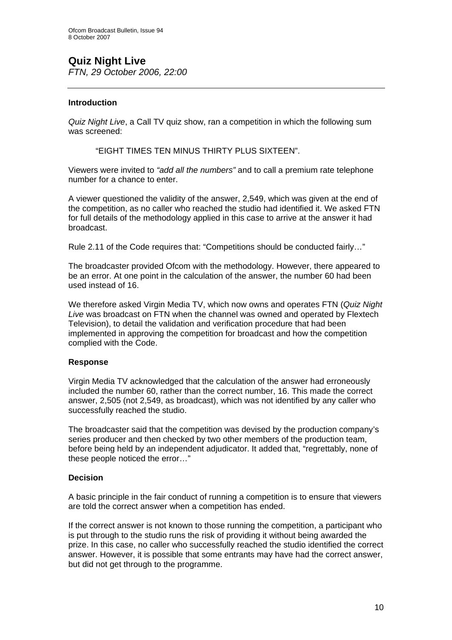# **Quiz Night Live**

*FTN, 29 October 2006, 22:00* 

## **Introduction**

*Quiz Night Live*, a Call TV quiz show, ran a competition in which the following sum was screened:

"EIGHT TIMES TEN MINUS THIRTY PLUS SIXTEEN".

Viewers were invited to *"add all the numbers"* and to call a premium rate telephone number for a chance to enter.

A viewer questioned the validity of the answer, 2,549, which was given at the end of the competition, as no caller who reached the studio had identified it. We asked FTN for full details of the methodology applied in this case to arrive at the answer it had broadcast.

Rule 2.11 of the Code requires that: "Competitions should be conducted fairly…"

The broadcaster provided Ofcom with the methodology. However, there appeared to be an error. At one point in the calculation of the answer, the number 60 had been used instead of 16.

We therefore asked Virgin Media TV, which now owns and operates FTN (*Quiz Night Live* was broadcast on FTN when the channel was owned and operated by Flextech Television), to detail the validation and verification procedure that had been implemented in approving the competition for broadcast and how the competition complied with the Code.

## **Response**

Virgin Media TV acknowledged that the calculation of the answer had erroneously included the number 60, rather than the correct number, 16. This made the correct answer, 2,505 (not 2,549, as broadcast), which was not identified by any caller who successfully reached the studio.

The broadcaster said that the competition was devised by the production company's series producer and then checked by two other members of the production team, before being held by an independent adjudicator. It added that, "regrettably, none of these people noticed the error…"

## **Decision**

A basic principle in the fair conduct of running a competition is to ensure that viewers are told the correct answer when a competition has ended.

If the correct answer is not known to those running the competition, a participant who is put through to the studio runs the risk of providing it without being awarded the prize. In this case, no caller who successfully reached the studio identified the correct answer. However, it is possible that some entrants may have had the correct answer, but did not get through to the programme.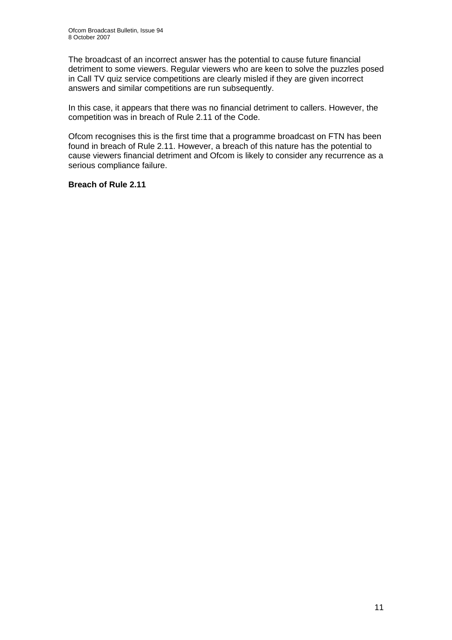The broadcast of an incorrect answer has the potential to cause future financial detriment to some viewers. Regular viewers who are keen to solve the puzzles posed in Call TV quiz service competitions are clearly misled if they are given incorrect answers and similar competitions are run subsequently.

In this case, it appears that there was no financial detriment to callers. However, the competition was in breach of Rule 2.11 of the Code.

Ofcom recognises this is the first time that a programme broadcast on FTN has been found in breach of Rule 2.11. However, a breach of this nature has the potential to cause viewers financial detriment and Ofcom is likely to consider any recurrence as a serious compliance failure.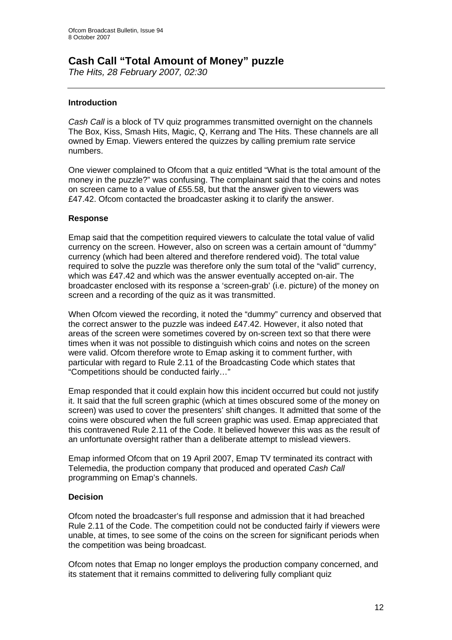## **Cash Call "Total Amount of Money" puzzle**

*The Hits, 28 February 2007, 02:30* 

## **Introduction**

*Cash Call* is a block of TV quiz programmes transmitted overnight on the channels The Box, Kiss, Smash Hits, Magic, Q, Kerrang and The Hits. These channels are all owned by Emap. Viewers entered the quizzes by calling premium rate service numbers.

One viewer complained to Ofcom that a quiz entitled "What is the total amount of the money in the puzzle?" was confusing. The complainant said that the coins and notes on screen came to a value of £55.58, but that the answer given to viewers was £47.42. Ofcom contacted the broadcaster asking it to clarify the answer.

## **Response**

Emap said that the competition required viewers to calculate the total value of valid currency on the screen. However, also on screen was a certain amount of "dummy" currency (which had been altered and therefore rendered void). The total value required to solve the puzzle was therefore only the sum total of the "valid" currency, which was £47.42 and which was the answer eventually accepted on-air. The broadcaster enclosed with its response a 'screen-grab' (i.e. picture) of the money on screen and a recording of the quiz as it was transmitted.

When Ofcom viewed the recording, it noted the "dummy" currency and observed that the correct answer to the puzzle was indeed £47.42. However, it also noted that areas of the screen were sometimes covered by on-screen text so that there were times when it was not possible to distinguish which coins and notes on the screen were valid. Ofcom therefore wrote to Emap asking it to comment further, with particular with regard to Rule 2.11 of the Broadcasting Code which states that "Competitions should be conducted fairly…"

Emap responded that it could explain how this incident occurred but could not justify it. It said that the full screen graphic (which at times obscured some of the money on screen) was used to cover the presenters' shift changes. It admitted that some of the coins were obscured when the full screen graphic was used. Emap appreciated that this contravened Rule 2.11 of the Code. It believed however this was as the result of an unfortunate oversight rather than a deliberate attempt to mislead viewers.

Emap informed Ofcom that on 19 April 2007, Emap TV terminated its contract with Telemedia, the production company that produced and operated *Cash Call*  programming on Emap's channels.

## **Decision**

Ofcom noted the broadcaster's full response and admission that it had breached Rule 2.11 of the Code. The competition could not be conducted fairly if viewers were unable, at times, to see some of the coins on the screen for significant periods when the competition was being broadcast.

Ofcom notes that Emap no longer employs the production company concerned, and its statement that it remains committed to delivering fully compliant quiz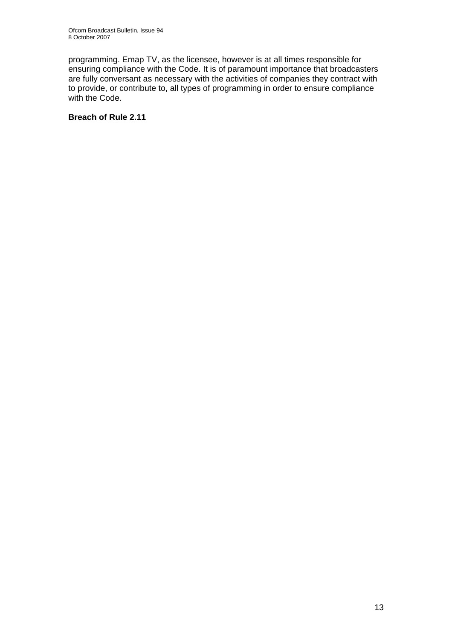programming. Emap TV, as the licensee, however is at all times responsible for ensuring compliance with the Code. It is of paramount importance that broadcasters are fully conversant as necessary with the activities of companies they contract with to provide, or contribute to, all types of programming in order to ensure compliance with the Code.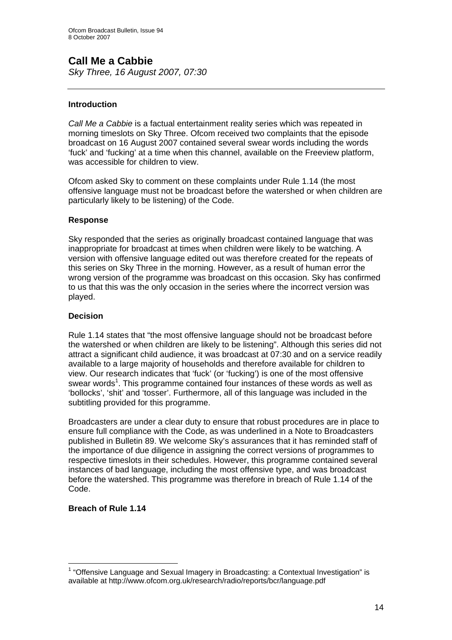# **Call Me a Cabbie**

*Sky Three, 16 August 2007, 07:30* 

## **Introduction**

*Call Me a Cabbie* is a factual entertainment reality series which was repeated in morning timeslots on Sky Three. Ofcom received two complaints that the episode broadcast on 16 August 2007 contained several swear words including the words 'fuck' and 'fucking' at a time when this channel, available on the Freeview platform, was accessible for children to view.

Ofcom asked Sky to comment on these complaints under Rule 1.14 (the most offensive language must not be broadcast before the watershed or when children are particularly likely to be listening) of the Code.

## **Response**

Sky responded that the series as originally broadcast contained language that was inappropriate for broadcast at times when children were likely to be watching. A version with offensive language edited out was therefore created for the repeats of this series on Sky Three in the morning. However, as a result of human error the wrong version of the programme was broadcast on this occasion. Sky has confirmed to us that this was the only occasion in the series where the incorrect version was played.

## **Decision**

Rule 1.14 states that "the most offensive language should not be broadcast before the watershed or when children are likely to be listening". Although this series did not attract a significant child audience, it was broadcast at 07:30 and on a service readily available to a large majority of households and therefore available for children to view. Our research indicates that 'fuck' (or 'fucking') is one of the most offensive swear words<sup>1</sup>. This programme contained four instances of these words as well as 'bollocks', 'shit' and 'tosser'. Furthermore, all of this language was included in the subtitling provided for this programme.

Broadcasters are under a clear duty to ensure that robust procedures are in place to ensure full compliance with the Code, as was underlined in a Note to Broadcasters published in Bulletin 89. We welcome Sky's assurances that it has reminded staff of the importance of due diligence in assigning the correct versions of programmes to respective timeslots in their schedules. However, this programme contained several instances of bad language, including the most offensive type, and was broadcast before the watershed. This programme was therefore in breach of Rule 1.14 of the Code.

 $\overline{a}$ <sup>1</sup> "Offensive Language and Sexual Imagery in Broadcasting: a Contextual Investigation" is available at http://www.ofcom.org.uk/research/radio/reports/bcr/language.pdf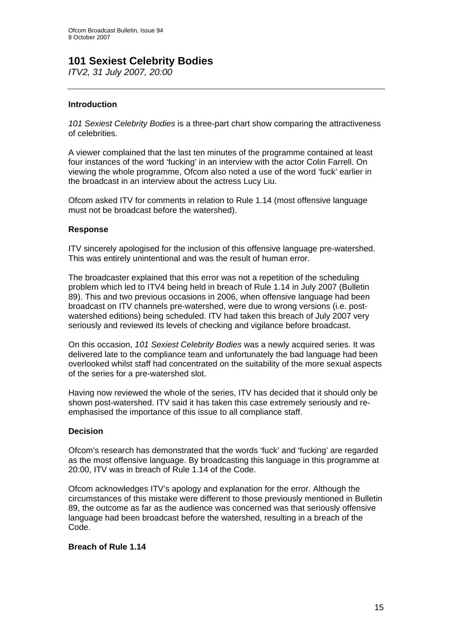## **101 Sexiest Celebrity Bodies**

*ITV2, 31 July 2007, 20:00* 

## **Introduction**

*101 Sexiest Celebrity Bodies* is a three-part chart show comparing the attractiveness of celebrities.

A viewer complained that the last ten minutes of the programme contained at least four instances of the word 'fucking' in an interview with the actor Colin Farrell. On viewing the whole programme, Ofcom also noted a use of the word 'fuck' earlier in the broadcast in an interview about the actress Lucy Liu.

Ofcom asked ITV for comments in relation to Rule 1.14 (most offensive language must not be broadcast before the watershed).

## **Response**

ITV sincerely apologised for the inclusion of this offensive language pre-watershed. This was entirely unintentional and was the result of human error.

The broadcaster explained that this error was not a repetition of the scheduling problem which led to ITV4 being held in breach of Rule 1.14 in July 2007 (Bulletin 89). This and two previous occasions in 2006, when offensive language had been broadcast on ITV channels pre-watershed, were due to wrong versions (i.e. postwatershed editions) being scheduled. ITV had taken this breach of July 2007 very seriously and reviewed its levels of checking and vigilance before broadcast.

On this occasion, *101 Sexiest Celebrity Bodies* was a newly acquired series. It was delivered late to the compliance team and unfortunately the bad language had been overlooked whilst staff had concentrated on the suitability of the more sexual aspects of the series for a pre-watershed slot.

Having now reviewed the whole of the series, ITV has decided that it should only be shown post-watershed. ITV said it has taken this case extremely seriously and reemphasised the importance of this issue to all compliance staff.

#### **Decision**

Ofcom's research has demonstrated that the words 'fuck' and 'fucking' are regarded as the most offensive language. By broadcasting this language in this programme at 20:00, ITV was in breach of Rule 1.14 of the Code.

Ofcom acknowledges ITV's apology and explanation for the error. Although the circumstances of this mistake were different to those previously mentioned in Bulletin 89, the outcome as far as the audience was concerned was that seriously offensive language had been broadcast before the watershed, resulting in a breach of the Code.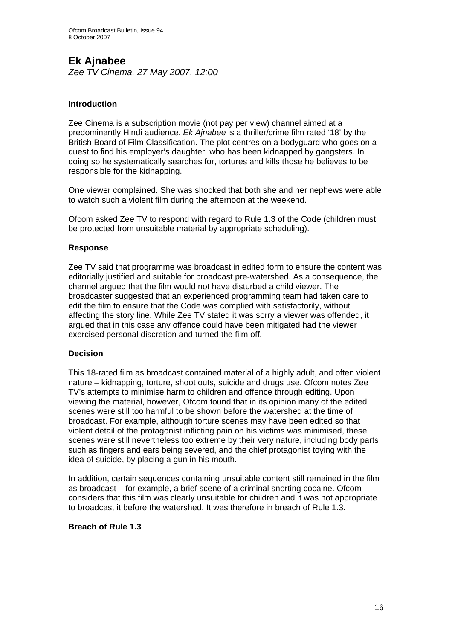## **Ek Ajnabee**

*Zee TV Cinema, 27 May 2007, 12:00* 

## **Introduction**

Zee Cinema is a subscription movie (not pay per view) channel aimed at a predominantly Hindi audience. *Ek Ajnabee* is a thriller/crime film rated '18' by the British Board of Film Classification. The plot centres on a bodyguard who goes on a quest to find his employer's daughter, who has been kidnapped by gangsters. In doing so he systematically searches for, tortures and kills those he believes to be responsible for the kidnapping.

One viewer complained. She was shocked that both she and her nephews were able to watch such a violent film during the afternoon at the weekend.

Ofcom asked Zee TV to respond with regard to Rule 1.3 of the Code (children must be protected from unsuitable material by appropriate scheduling).

## **Response**

Zee TV said that programme was broadcast in edited form to ensure the content was editorially justified and suitable for broadcast pre-watershed. As a consequence, the channel argued that the film would not have disturbed a child viewer. The broadcaster suggested that an experienced programming team had taken care to edit the film to ensure that the Code was complied with satisfactorily, without affecting the story line. While Zee TV stated it was sorry a viewer was offended, it argued that in this case any offence could have been mitigated had the viewer exercised personal discretion and turned the film off.

#### **Decision**

This 18-rated film as broadcast contained material of a highly adult, and often violent nature – kidnapping, torture, shoot outs, suicide and drugs use. Ofcom notes Zee TV's attempts to minimise harm to children and offence through editing. Upon viewing the material, however, Ofcom found that in its opinion many of the edited scenes were still too harmful to be shown before the watershed at the time of broadcast. For example, although torture scenes may have been edited so that violent detail of the protagonist inflicting pain on his victims was minimised, these scenes were still nevertheless too extreme by their very nature, including body parts such as fingers and ears being severed, and the chief protagonist toying with the idea of suicide, by placing a gun in his mouth.

In addition, certain sequences containing unsuitable content still remained in the film as broadcast – for example, a brief scene of a criminal snorting cocaine. Ofcom considers that this film was clearly unsuitable for children and it was not appropriate to broadcast it before the watershed. It was therefore in breach of Rule 1.3.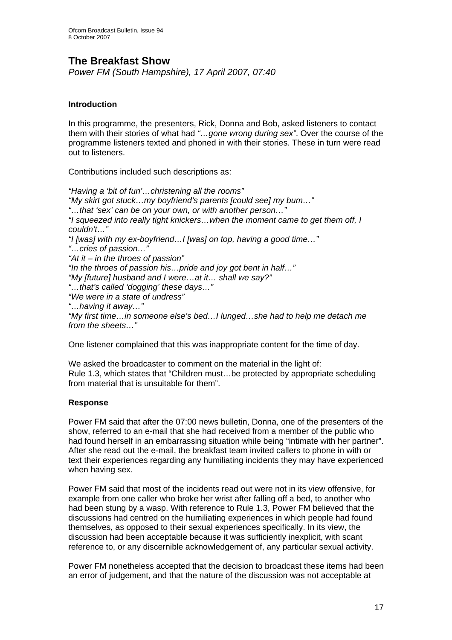## **The Breakfast Show**

*Power FM (South Hampshire), 17 April 2007, 07:40* 

## **Introduction**

In this programme, the presenters, Rick, Donna and Bob, asked listeners to contact them with their stories of what had *"…gone wrong during sex"*. Over the course of the programme listeners texted and phoned in with their stories. These in turn were read out to listeners.

Contributions included such descriptions as:

*"Having a 'bit of fun'…christening all the rooms" "My skirt got stuck…my boyfriend's parents [could see] my bum…" "…that 'sex' can be on your own, or with another person…" "I squeezed into really tight knickers…when the moment came to get them off, I couldn't…" "I [was] with my ex-boyfriend…I [was] on top, having a good time…" "…cries of passion…" "At it – in the throes of passion" "In the throes of passion his…pride and joy got bent in half…" "My [future] husband and I were…at it… shall we say?" "…that's called 'dogging' these days…" "We were in a state of undress" "…having it away…" "My first time…in someone else's bed…I lunged…she had to help me detach me from the sheets…"* 

One listener complained that this was inappropriate content for the time of day.

We asked the broadcaster to comment on the material in the light of: Rule 1.3, which states that "Children must…be protected by appropriate scheduling from material that is unsuitable for them".

## **Response**

Power FM said that after the 07:00 news bulletin, Donna, one of the presenters of the show, referred to an e-mail that she had received from a member of the public who had found herself in an embarrassing situation while being "intimate with her partner". After she read out the e-mail, the breakfast team invited callers to phone in with or text their experiences regarding any humiliating incidents they may have experienced when having sex.

Power FM said that most of the incidents read out were not in its view offensive, for example from one caller who broke her wrist after falling off a bed, to another who had been stung by a wasp. With reference to Rule 1.3, Power FM believed that the discussions had centred on the humiliating experiences in which people had found themselves, as opposed to their sexual experiences specifically. In its view, the discussion had been acceptable because it was sufficiently inexplicit, with scant reference to, or any discernible acknowledgement of, any particular sexual activity.

Power FM nonetheless accepted that the decision to broadcast these items had been an error of judgement, and that the nature of the discussion was not acceptable at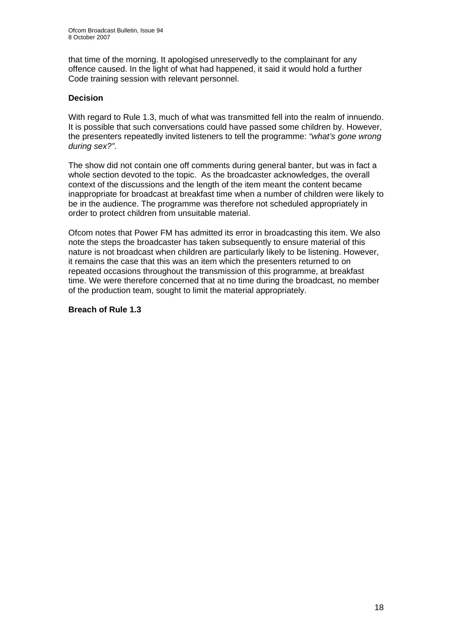that time of the morning. It apologised unreservedly to the complainant for any offence caused. In the light of what had happened, it said it would hold a further Code training session with relevant personnel.

## **Decision**

With regard to Rule 1.3, much of what was transmitted fell into the realm of innuendo. It is possible that such conversations could have passed some children by. However, the presenters repeatedly invited listeners to tell the programme: *"what's gone wrong during sex?"*.

The show did not contain one off comments during general banter, but was in fact a whole section devoted to the topic. As the broadcaster acknowledges, the overall context of the discussions and the length of the item meant the content became inappropriate for broadcast at breakfast time when a number of children were likely to be in the audience. The programme was therefore not scheduled appropriately in order to protect children from unsuitable material.

Ofcom notes that Power FM has admitted its error in broadcasting this item. We also note the steps the broadcaster has taken subsequently to ensure material of this nature is not broadcast when children are particularly likely to be listening. However, it remains the case that this was an item which the presenters returned to on repeated occasions throughout the transmission of this programme, at breakfast time. We were therefore concerned that at no time during the broadcast, no member of the production team, sought to limit the material appropriately.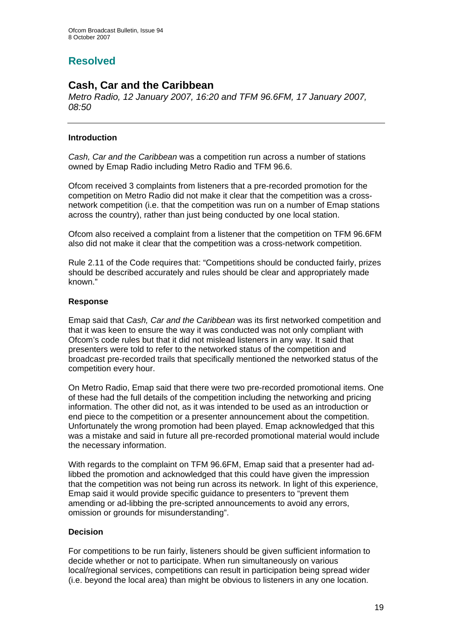# **Resolved**

## **Cash, Car and the Caribbean**

*Metro Radio, 12 January 2007, 16:20 and TFM 96.6FM, 17 January 2007, 08:50* 

## **Introduction**

*Cash, Car and the Caribbean* was a competition run across a number of stations owned by Emap Radio including Metro Radio and TFM 96.6.

Ofcom received 3 complaints from listeners that a pre-recorded promotion for the competition on Metro Radio did not make it clear that the competition was a crossnetwork competition (i.e. that the competition was run on a number of Emap stations across the country), rather than just being conducted by one local station.

Ofcom also received a complaint from a listener that the competition on TFM 96.6FM also did not make it clear that the competition was a cross-network competition.

Rule 2.11 of the Code requires that: "Competitions should be conducted fairly, prizes should be described accurately and rules should be clear and appropriately made known."

## **Response**

Emap said that *Cash, Car and the Caribbean* was its first networked competition and that it was keen to ensure the way it was conducted was not only compliant with Ofcom's code rules but that it did not mislead listeners in any way. It said that presenters were told to refer to the networked status of the competition and broadcast pre-recorded trails that specifically mentioned the networked status of the competition every hour.

On Metro Radio, Emap said that there were two pre-recorded promotional items. One of these had the full details of the competition including the networking and pricing information. The other did not, as it was intended to be used as an introduction or end piece to the competition or a presenter announcement about the competition. Unfortunately the wrong promotion had been played. Emap acknowledged that this was a mistake and said in future all pre-recorded promotional material would include the necessary information.

With regards to the complaint on TFM 96.6FM, Emap said that a presenter had adlibbed the promotion and acknowledged that this could have given the impression that the competition was not being run across its network. In light of this experience, Emap said it would provide specific guidance to presenters to "prevent them amending or ad-libbing the pre-scripted announcements to avoid any errors, omission or grounds for misunderstanding".

## **Decision**

For competitions to be run fairly, listeners should be given sufficient information to decide whether or not to participate. When run simultaneously on various local/regional services, competitions can result in participation being spread wider (i.e. beyond the local area) than might be obvious to listeners in any one location.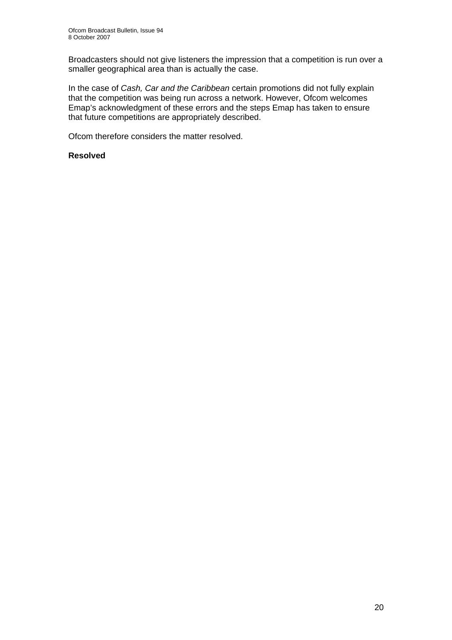Broadcasters should not give listeners the impression that a competition is run over a smaller geographical area than is actually the case.

In the case of *Cash, Car and the Caribbean* certain promotions did not fully explain that the competition was being run across a network. However, Ofcom welcomes Emap's acknowledgment of these errors and the steps Emap has taken to ensure that future competitions are appropriately described.

Ofcom therefore considers the matter resolved.

## **Resolved**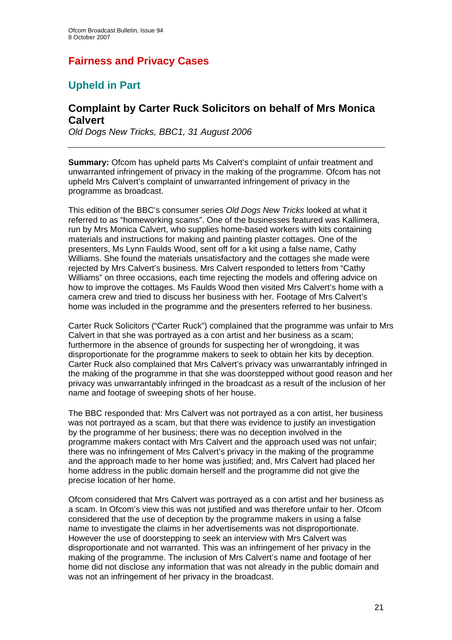# **Fairness and Privacy Cases**

# **Upheld in Part**

## **Complaint by Carter Ruck Solicitors on behalf of Mrs Monica Calvert**

*Old Dogs New Tricks, BBC1, 31 August 2006* 

**Summary:** Ofcom has upheld parts Ms Calvert's complaint of unfair treatment and unwarranted infringement of privacy in the making of the programme. Ofcom has not upheld Mrs Calvert's complaint of unwarranted infringement of privacy in the programme as broadcast.

This edition of the BBC's consumer series *Old Dogs New Tricks* looked at what it referred to as "homeworking scams". One of the businesses featured was Kallimera, run by Mrs Monica Calvert, who supplies home-based workers with kits containing materials and instructions for making and painting plaster cottages. One of the presenters, Ms Lynn Faulds Wood, sent off for a kit using a false name, Cathy Williams. She found the materials unsatisfactory and the cottages she made were rejected by Mrs Calvert's business. Mrs Calvert responded to letters from "Cathy Williams" on three occasions, each time rejecting the models and offering advice on how to improve the cottages. Ms Faulds Wood then visited Mrs Calvert's home with a camera crew and tried to discuss her business with her. Footage of Mrs Calvert's home was included in the programme and the presenters referred to her business.

Carter Ruck Solicitors ("Carter Ruck") complained that the programme was unfair to Mrs Calvert in that she was portrayed as a con artist and her business as a scam; furthermore in the absence of grounds for suspecting her of wrongdoing, it was disproportionate for the programme makers to seek to obtain her kits by deception. Carter Ruck also complained that Mrs Calvert's privacy was unwarrantably infringed in the making of the programme in that she was doorstepped without good reason and her privacy was unwarrantably infringed in the broadcast as a result of the inclusion of her name and footage of sweeping shots of her house.

The BBC responded that: Mrs Calvert was not portrayed as a con artist, her business was not portrayed as a scam, but that there was evidence to justify an investigation by the programme of her business; there was no deception involved in the programme makers contact with Mrs Calvert and the approach used was not unfair; there was no infringement of Mrs Calvert's privacy in the making of the programme and the approach made to her home was justified; and, Mrs Calvert had placed her home address in the public domain herself and the programme did not give the precise location of her home.

Ofcom considered that Mrs Calvert was portrayed as a con artist and her business as a scam. In Ofcom's view this was not justified and was therefore unfair to her. Ofcom considered that the use of deception by the programme makers in using a false name to investigate the claims in her advertisements was not disproportionate. However the use of doorstepping to seek an interview with Mrs Calvert was disproportionate and not warranted. This was an infringement of her privacy in the making of the programme. The inclusion of Mrs Calvert's name and footage of her home did not disclose any information that was not already in the public domain and was not an infringement of her privacy in the broadcast.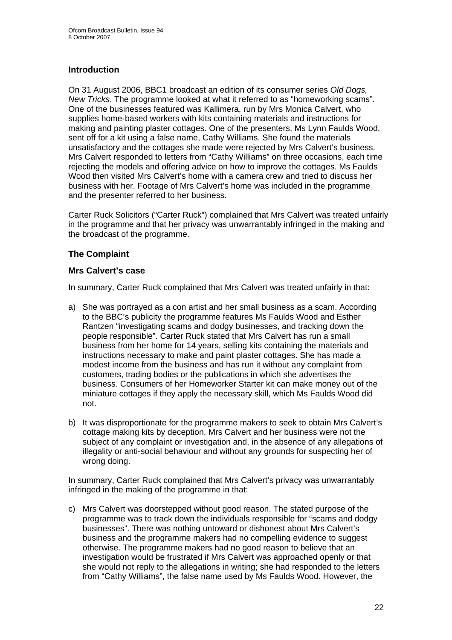## **Introduction**

On 31 August 2006, BBC1 broadcast an edition of its consumer series *Old Dogs, New Tricks*. The programme looked at what it referred to as "homeworking scams". One of the businesses featured was Kallimera, run by Mrs Monica Calvert, who supplies home-based workers with kits containing materials and instructions for making and painting plaster cottages. One of the presenters, Ms Lynn Faulds Wood, sent off for a kit using a false name, Cathy Williams. She found the materials unsatisfactory and the cottages she made were rejected by Mrs Calvert's business. Mrs Calvert responded to letters from "Cathy Williams" on three occasions, each time rejecting the models and offering advice on how to improve the cottages. Ms Faulds Wood then visited Mrs Calvert's home with a camera crew and tried to discuss her business with her. Footage of Mrs Calvert's home was included in the programme and the presenter referred to her business.

Carter Ruck Solicitors ("Carter Ruck") complained that Mrs Calvert was treated unfairly in the programme and that her privacy was unwarrantably infringed in the making and the broadcast of the programme.

## **The Complaint**

## **Mrs Calvert's case**

In summary, Carter Ruck complained that Mrs Calvert was treated unfairly in that:

- a) She was portrayed as a con artist and her small business as a scam. According to the BBC's publicity the programme features Ms Faulds Wood and Esther Rantzen "investigating scams and dodgy businesses, and tracking down the people responsible". Carter Ruck stated that Mrs Calvert has run a small business from her home for 14 years, selling kits containing the materials and instructions necessary to make and paint plaster cottages. She has made a modest income from the business and has run it without any complaint from customers, trading bodies or the publications in which she advertises the business. Consumers of her Homeworker Starter kit can make money out of the miniature cottages if they apply the necessary skill, which Ms Faulds Wood did not.
- b) It was disproportionate for the programme makers to seek to obtain Mrs Calvert's cottage making kits by deception. Mrs Calvert and her business were not the subject of any complaint or investigation and, in the absence of any allegations of illegality or anti-social behaviour and without any grounds for suspecting her of wrong doing.

In summary, Carter Ruck complained that Mrs Calvert's privacy was unwarrantably infringed in the making of the programme in that:

c) Mrs Calvert was doorstepped without good reason. The stated purpose of the programme was to track down the individuals responsible for "scams and dodgy businesses". There was nothing untoward or dishonest about Mrs Calvert's business and the programme makers had no compelling evidence to suggest otherwise. The programme makers had no good reason to believe that an investigation would be frustrated if Mrs Calvert was approached openly or that she would not reply to the allegations in writing; she had responded to the letters from "Cathy Williams", the false name used by Ms Faulds Wood. However, the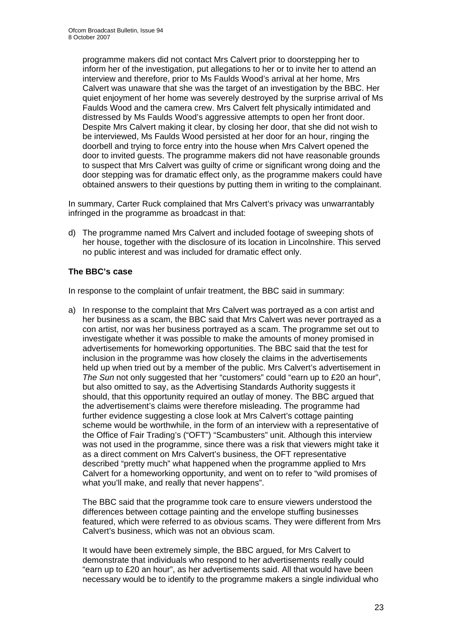programme makers did not contact Mrs Calvert prior to doorstepping her to inform her of the investigation, put allegations to her or to invite her to attend an interview and therefore, prior to Ms Faulds Wood's arrival at her home, Mrs Calvert was unaware that she was the target of an investigation by the BBC. Her quiet enjoyment of her home was severely destroyed by the surprise arrival of Ms Faulds Wood and the camera crew. Mrs Calvert felt physically intimidated and distressed by Ms Faulds Wood's aggressive attempts to open her front door. Despite Mrs Calvert making it clear, by closing her door, that she did not wish to be interviewed, Ms Faulds Wood persisted at her door for an hour, ringing the doorbell and trying to force entry into the house when Mrs Calvert opened the door to invited guests. The programme makers did not have reasonable grounds to suspect that Mrs Calvert was guilty of crime or significant wrong doing and the door stepping was for dramatic effect only, as the programme makers could have obtained answers to their questions by putting them in writing to the complainant.

In summary, Carter Ruck complained that Mrs Calvert's privacy was unwarrantably infringed in the programme as broadcast in that:

d) The programme named Mrs Calvert and included footage of sweeping shots of her house, together with the disclosure of its location in Lincolnshire. This served no public interest and was included for dramatic effect only.

## **The BBC's case**

In response to the complaint of unfair treatment, the BBC said in summary:

a) In response to the complaint that Mrs Calvert was portrayed as a con artist and her business as a scam, the BBC said that Mrs Calvert was never portrayed as a con artist, nor was her business portrayed as a scam. The programme set out to investigate whether it was possible to make the amounts of money promised in advertisements for homeworking opportunities. The BBC said that the test for inclusion in the programme was how closely the claims in the advertisements held up when tried out by a member of the public. Mrs Calvert's advertisement in *The Sun* not only suggested that her "customers" could "earn up to £20 an hour", but also omitted to say, as the Advertising Standards Authority suggests it should, that this opportunity required an outlay of money. The BBC argued that the advertisement's claims were therefore misleading. The programme had further evidence suggesting a close look at Mrs Calvert's cottage painting scheme would be worthwhile, in the form of an interview with a representative of the Office of Fair Trading's ("OFT") "Scambusters" unit. Although this interview was not used in the programme, since there was a risk that viewers might take it as a direct comment on Mrs Calvert's business, the OFT representative described "pretty much" what happened when the programme applied to Mrs Calvert for a homeworking opportunity, and went on to refer to "wild promises of what you'll make, and really that never happens".

The BBC said that the programme took care to ensure viewers understood the differences between cottage painting and the envelope stuffing businesses featured, which were referred to as obvious scams. They were different from Mrs Calvert's business, which was not an obvious scam.

It would have been extremely simple, the BBC argued, for Mrs Calvert to demonstrate that individuals who respond to her advertisements really could "earn up to £20 an hour", as her advertisements said. All that would have been necessary would be to identify to the programme makers a single individual who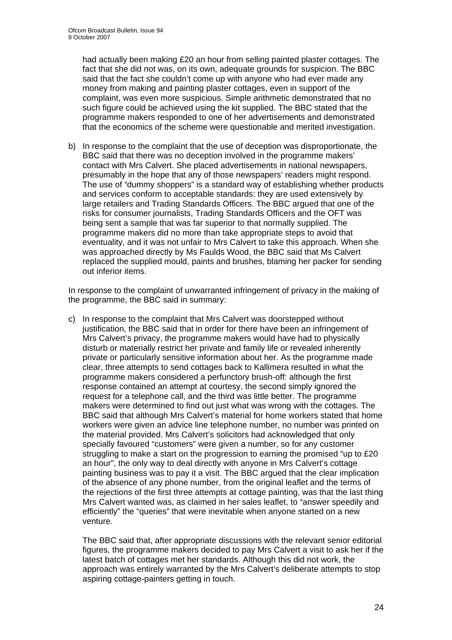had actually been making £20 an hour from selling painted plaster cottages. The fact that she did not was, on its own, adequate grounds for suspicion. The BBC said that the fact she couldn't come up with anyone who had ever made any money from making and painting plaster cottages, even in support of the complaint, was even more suspicious. Simple arithmetic demonstrated that no such figure could be achieved using the kit supplied. The BBC stated that the programme makers responded to one of her advertisements and demonstrated that the economics of the scheme were questionable and merited investigation.

b) In response to the complaint that the use of deception was disproportionate, the BBC said that there was no deception involved in the programme makers' contact with Mrs Calvert. She placed advertisements in national newspapers, presumably in the hope that any of those newspapers' readers might respond. The use of "dummy shoppers" is a standard way of establishing whether products and services conform to acceptable standards: they are used extensively by large retailers and Trading Standards Officers. The BBC argued that one of the risks for consumer journalists, Trading Standards Officers and the OFT was being sent a sample that was far superior to that normally supplied. The programme makers did no more than take appropriate steps to avoid that eventuality, and it was not unfair to Mrs Calvert to take this approach. When she was approached directly by Ms Faulds Wood, the BBC said that Ms Calvert replaced the supplied mould, paints and brushes, blaming her packer for sending out inferior items.

In response to the complaint of unwarranted infringement of privacy in the making of the programme, the BBC said in summary:

c) In response to the complaint that Mrs Calvert was doorstepped without justification, the BBC said that in order for there have been an infringement of Mrs Calvert's privacy, the programme makers would have had to physically disturb or materially restrict her private and family life or revealed inherently private or particularly sensitive information about her. As the programme made clear, three attempts to send cottages back to Kallimera resulted in what the programme makers considered a perfunctory brush-off: although the first response contained an attempt at courtesy, the second simply ignored the request for a telephone call, and the third was little better. The programme makers were determined to find out just what was wrong with the cottages. The BBC said that although Mrs Calvert's material for home workers stated that home workers were given an advice line telephone number, no number was printed on the material provided. Mrs Calvert's solicitors had acknowledged that only specially favoured "customers" were given a number, so for any customer struggling to make a start on the progression to earning the promised "up to £20 an hour", the only way to deal directly with anyone in Mrs Calvert's cottage painting business was to pay it a visit. The BBC argued that the clear implication of the absence of any phone number, from the original leaflet and the terms of the rejections of the first three attempts at cottage painting, was that the last thing Mrs Calvert wanted was, as claimed in her sales leaflet, to "answer speedily and efficiently" the "queries" that were inevitable when anyone started on a new venture.

The BBC said that, after appropriate discussions with the relevant senior editorial figures, the programme makers decided to pay Mrs Calvert a visit to ask her if the latest batch of cottages met her standards. Although this did not work, the approach was entirely warranted by the Mrs Calvert's deliberate attempts to stop aspiring cottage-painters getting in touch.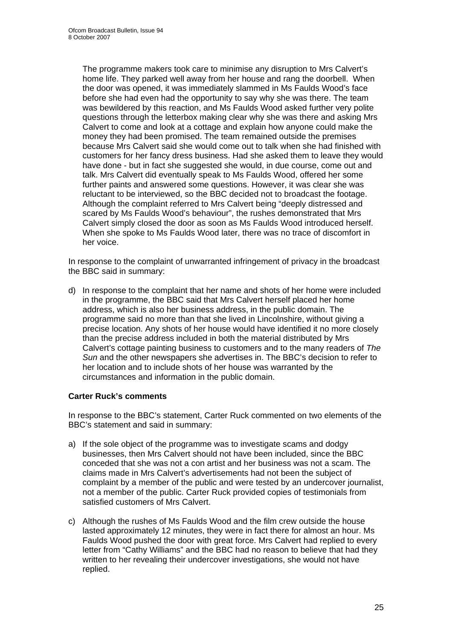The programme makers took care to minimise any disruption to Mrs Calvert's home life. They parked well away from her house and rang the doorbell. When the door was opened, it was immediately slammed in Ms Faulds Wood's face before she had even had the opportunity to say why she was there. The team was bewildered by this reaction, and Ms Faulds Wood asked further very polite questions through the letterbox making clear why she was there and asking Mrs Calvert to come and look at a cottage and explain how anyone could make the money they had been promised. The team remained outside the premises because Mrs Calvert said she would come out to talk when she had finished with customers for her fancy dress business. Had she asked them to leave they would have done - but in fact she suggested she would, in due course, come out and talk. Mrs Calvert did eventually speak to Ms Faulds Wood, offered her some further paints and answered some questions. However, it was clear she was reluctant to be interviewed, so the BBC decided not to broadcast the footage. Although the complaint referred to Mrs Calvert being "deeply distressed and scared by Ms Faulds Wood's behaviour", the rushes demonstrated that Mrs Calvert simply closed the door as soon as Ms Faulds Wood introduced herself. When she spoke to Ms Faulds Wood later, there was no trace of discomfort in her voice.

In response to the complaint of unwarranted infringement of privacy in the broadcast the BBC said in summary:

d) In response to the complaint that her name and shots of her home were included in the programme, the BBC said that Mrs Calvert herself placed her home address, which is also her business address, in the public domain. The programme said no more than that she lived in Lincolnshire, without giving a precise location. Any shots of her house would have identified it no more closely than the precise address included in both the material distributed by Mrs Calvert's cottage painting business to customers and to the many readers of *The Sun* and the other newspapers she advertises in. The BBC's decision to refer to her location and to include shots of her house was warranted by the circumstances and information in the public domain.

## **Carter Ruck's comments**

In response to the BBC's statement, Carter Ruck commented on two elements of the BBC's statement and said in summary:

- a) If the sole object of the programme was to investigate scams and dodgy businesses, then Mrs Calvert should not have been included, since the BBC conceded that she was not a con artist and her business was not a scam. The claims made in Mrs Calvert's advertisements had not been the subject of complaint by a member of the public and were tested by an undercover journalist, not a member of the public. Carter Ruck provided copies of testimonials from satisfied customers of Mrs Calvert.
- c) Although the rushes of Ms Faulds Wood and the film crew outside the house lasted approximately 12 minutes, they were in fact there for almost an hour. Ms Faulds Wood pushed the door with great force. Mrs Calvert had replied to every letter from "Cathy Williams" and the BBC had no reason to believe that had they written to her revealing their undercover investigations, she would not have replied.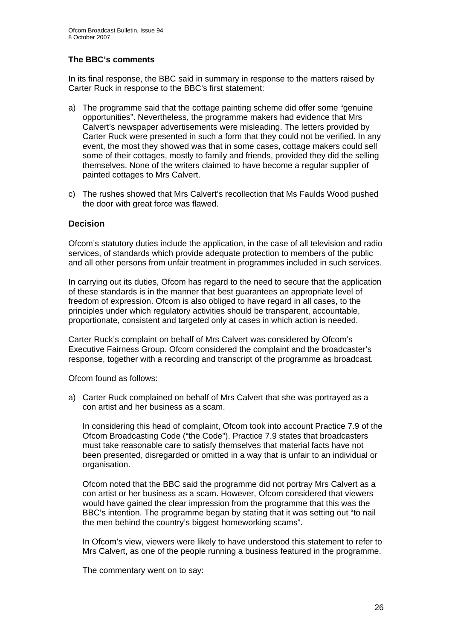## **The BBC's comments**

In its final response, the BBC said in summary in response to the matters raised by Carter Ruck in response to the BBC's first statement:

- a) The programme said that the cottage painting scheme did offer some "genuine opportunities". Nevertheless, the programme makers had evidence that Mrs Calvert's newspaper advertisements were misleading. The letters provided by Carter Ruck were presented in such a form that they could not be verified. In any event, the most they showed was that in some cases, cottage makers could sell some of their cottages, mostly to family and friends, provided they did the selling themselves. None of the writers claimed to have become a regular supplier of painted cottages to Mrs Calvert.
- c) The rushes showed that Mrs Calvert's recollection that Ms Faulds Wood pushed the door with great force was flawed.

## **Decision**

Ofcom's statutory duties include the application, in the case of all television and radio services, of standards which provide adequate protection to members of the public and all other persons from unfair treatment in programmes included in such services.

In carrying out its duties, Ofcom has regard to the need to secure that the application of these standards is in the manner that best guarantees an appropriate level of freedom of expression. Ofcom is also obliged to have regard in all cases, to the principles under which regulatory activities should be transparent, accountable, proportionate, consistent and targeted only at cases in which action is needed.

Carter Ruck's complaint on behalf of Mrs Calvert was considered by Ofcom's Executive Fairness Group. Ofcom considered the complaint and the broadcaster's response, together with a recording and transcript of the programme as broadcast.

Ofcom found as follows:

a) Carter Ruck complained on behalf of Mrs Calvert that she was portrayed as a con artist and her business as a scam.

In considering this head of complaint, Ofcom took into account Practice 7.9 of the Ofcom Broadcasting Code ("the Code"). Practice 7.9 states that broadcasters must take reasonable care to satisfy themselves that material facts have not been presented, disregarded or omitted in a way that is unfair to an individual or organisation.

Ofcom noted that the BBC said the programme did not portray Mrs Calvert as a con artist or her business as a scam. However, Ofcom considered that viewers would have gained the clear impression from the programme that this was the BBC's intention. The programme began by stating that it was setting out "to nail the men behind the country's biggest homeworking scams".

In Ofcom's view, viewers were likely to have understood this statement to refer to Mrs Calvert, as one of the people running a business featured in the programme.

The commentary went on to say: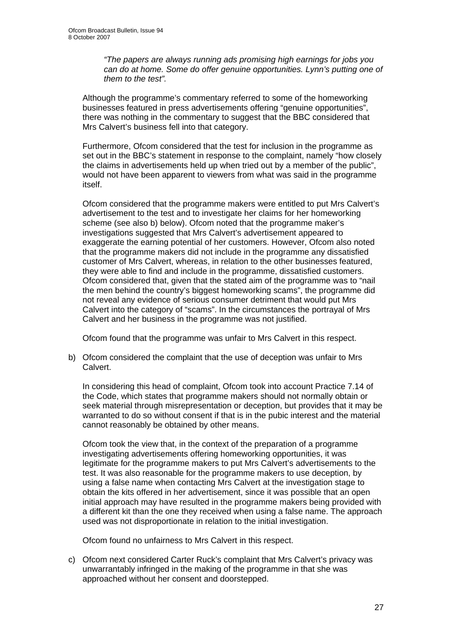*"The papers are always running ads promising high earnings for jobs you can do at home. Some do offer genuine opportunities. Lynn's putting one of them to the test".* 

Although the programme's commentary referred to some of the homeworking businesses featured in press advertisements offering "genuine opportunities", there was nothing in the commentary to suggest that the BBC considered that Mrs Calvert's business fell into that category.

Furthermore, Ofcom considered that the test for inclusion in the programme as set out in the BBC's statement in response to the complaint, namely "how closely the claims in advertisements held up when tried out by a member of the public", would not have been apparent to viewers from what was said in the programme itself.

Ofcom considered that the programme makers were entitled to put Mrs Calvert's advertisement to the test and to investigate her claims for her homeworking scheme (see also b) below). Ofcom noted that the programme maker's investigations suggested that Mrs Calvert's advertisement appeared to exaggerate the earning potential of her customers. However, Ofcom also noted that the programme makers did not include in the programme any dissatisfied customer of Mrs Calvert, whereas, in relation to the other businesses featured, they were able to find and include in the programme, dissatisfied customers. Ofcom considered that, given that the stated aim of the programme was to "nail the men behind the country's biggest homeworking scams", the programme did not reveal any evidence of serious consumer detriment that would put Mrs Calvert into the category of "scams". In the circumstances the portrayal of Mrs Calvert and her business in the programme was not justified.

Ofcom found that the programme was unfair to Mrs Calvert in this respect.

b) Ofcom considered the complaint that the use of deception was unfair to Mrs Calvert.

In considering this head of complaint, Ofcom took into account Practice 7.14 of the Code, which states that programme makers should not normally obtain or seek material through misrepresentation or deception, but provides that it may be warranted to do so without consent if that is in the pubic interest and the material cannot reasonably be obtained by other means.

Ofcom took the view that, in the context of the preparation of a programme investigating advertisements offering homeworking opportunities, it was legitimate for the programme makers to put Mrs Calvert's advertisements to the test. It was also reasonable for the programme makers to use deception, by using a false name when contacting Mrs Calvert at the investigation stage to obtain the kits offered in her advertisement, since it was possible that an open initial approach may have resulted in the programme makers being provided with a different kit than the one they received when using a false name. The approach used was not disproportionate in relation to the initial investigation.

Ofcom found no unfairness to Mrs Calvert in this respect.

c) Ofcom next considered Carter Ruck's complaint that Mrs Calvert's privacy was unwarrantably infringed in the making of the programme in that she was approached without her consent and doorstepped.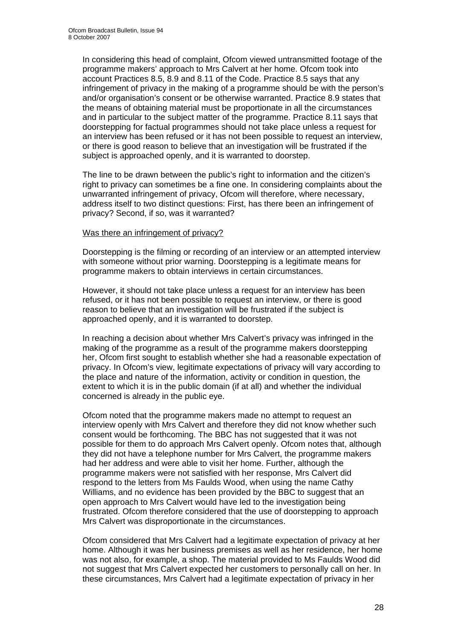In considering this head of complaint, Ofcom viewed untransmitted footage of the programme makers' approach to Mrs Calvert at her home. Ofcom took into account Practices 8.5, 8.9 and 8.11 of the Code. Practice 8.5 says that any infringement of privacy in the making of a programme should be with the person's and/or organisation's consent or be otherwise warranted. Practice 8.9 states that the means of obtaining material must be proportionate in all the circumstances and in particular to the subject matter of the programme. Practice 8.11 says that doorstepping for factual programmes should not take place unless a request for an interview has been refused or it has not been possible to request an interview, or there is good reason to believe that an investigation will be frustrated if the subject is approached openly, and it is warranted to doorstep.

The line to be drawn between the public's right to information and the citizen's right to privacy can sometimes be a fine one. In considering complaints about the unwarranted infringement of privacy, Ofcom will therefore, where necessary, address itself to two distinct questions: First, has there been an infringement of privacy? Second, if so, was it warranted?

#### Was there an infringement of privacy?

Doorstepping is the filming or recording of an interview or an attempted interview with someone without prior warning. Doorstepping is a legitimate means for programme makers to obtain interviews in certain circumstances.

However, it should not take place unless a request for an interview has been refused, or it has not been possible to request an interview, or there is good reason to believe that an investigation will be frustrated if the subject is approached openly, and it is warranted to doorstep.

In reaching a decision about whether Mrs Calvert's privacy was infringed in the making of the programme as a result of the programme makers doorstepping her, Ofcom first sought to establish whether she had a reasonable expectation of privacy. In Ofcom's view, legitimate expectations of privacy will vary according to the place and nature of the information, activity or condition in question, the extent to which it is in the public domain (if at all) and whether the individual concerned is already in the public eye.

Ofcom noted that the programme makers made no attempt to request an interview openly with Mrs Calvert and therefore they did not know whether such consent would be forthcoming. The BBC has not suggested that it was not possible for them to do approach Mrs Calvert openly. Ofcom notes that, although they did not have a telephone number for Mrs Calvert, the programme makers had her address and were able to visit her home. Further, although the programme makers were not satisfied with her response, Mrs Calvert did respond to the letters from Ms Faulds Wood, when using the name Cathy Williams, and no evidence has been provided by the BBC to suggest that an open approach to Mrs Calvert would have led to the investigation being frustrated. Ofcom therefore considered that the use of doorstepping to approach Mrs Calvert was disproportionate in the circumstances.

Ofcom considered that Mrs Calvert had a legitimate expectation of privacy at her home. Although it was her business premises as well as her residence, her home was not also, for example, a shop. The material provided to Ms Faulds Wood did not suggest that Mrs Calvert expected her customers to personally call on her. In these circumstances, Mrs Calvert had a legitimate expectation of privacy in her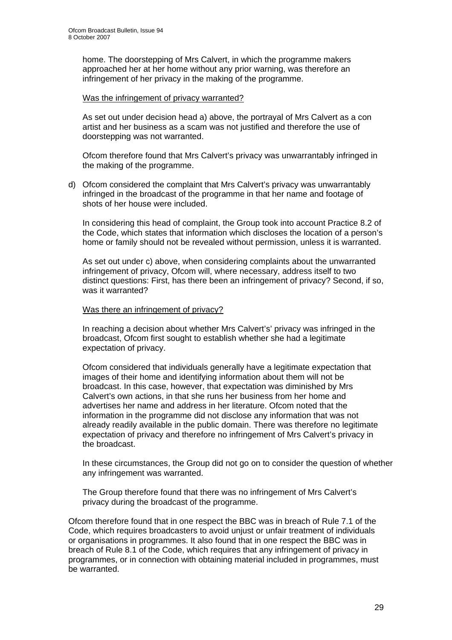home. The doorstepping of Mrs Calvert, in which the programme makers approached her at her home without any prior warning, was therefore an infringement of her privacy in the making of the programme.

#### Was the infringement of privacy warranted?

As set out under decision head a) above, the portrayal of Mrs Calvert as a con artist and her business as a scam was not justified and therefore the use of doorstepping was not warranted.

Ofcom therefore found that Mrs Calvert's privacy was unwarrantably infringed in the making of the programme.

d) Ofcom considered the complaint that Mrs Calvert's privacy was unwarrantably infringed in the broadcast of the programme in that her name and footage of shots of her house were included.

In considering this head of complaint, the Group took into account Practice 8.2 of the Code, which states that information which discloses the location of a person's home or family should not be revealed without permission, unless it is warranted.

As set out under c) above, when considering complaints about the unwarranted infringement of privacy, Ofcom will, where necessary, address itself to two distinct questions: First, has there been an infringement of privacy? Second, if so, was it warranted?

## Was there an infringement of privacy?

In reaching a decision about whether Mrs Calvert's' privacy was infringed in the broadcast, Ofcom first sought to establish whether she had a legitimate expectation of privacy.

Ofcom considered that individuals generally have a legitimate expectation that images of their home and identifying information about them will not be broadcast. In this case, however, that expectation was diminished by Mrs Calvert's own actions, in that she runs her business from her home and advertises her name and address in her literature. Ofcom noted that the information in the programme did not disclose any information that was not already readily available in the public domain. There was therefore no legitimate expectation of privacy and therefore no infringement of Mrs Calvert's privacy in the broadcast.

In these circumstances, the Group did not go on to consider the question of whether any infringement was warranted.

The Group therefore found that there was no infringement of Mrs Calvert's privacy during the broadcast of the programme.

Ofcom therefore found that in one respect the BBC was in breach of Rule 7.1 of the Code, which requires broadcasters to avoid unjust or unfair treatment of individuals or organisations in programmes. It also found that in one respect the BBC was in breach of Rule 8.1 of the Code, which requires that any infringement of privacy in programmes, or in connection with obtaining material included in programmes, must be warranted.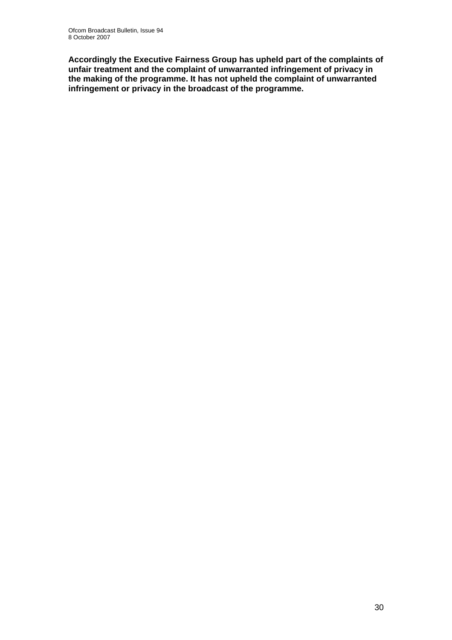**Accordingly the Executive Fairness Group has upheld part of the complaints of unfair treatment and the complaint of unwarranted infringement of privacy in the making of the programme. It has not upheld the complaint of unwarranted infringement or privacy in the broadcast of the programme.**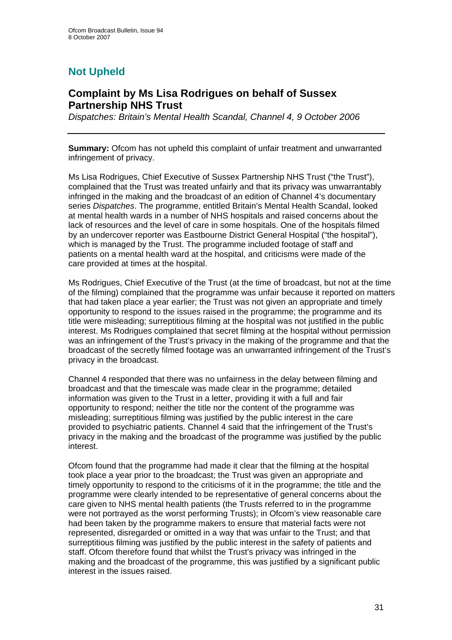# **Not Upheld**

## **Complaint by Ms Lisa Rodrigues on behalf of Sussex Partnership NHS Trust**

*Dispatches: Britain's Mental Health Scandal, Channel 4, 9 October 2006* 

**Summary:** Ofcom has not upheld this complaint of unfair treatment and unwarranted infringement of privacy.

Ms Lisa Rodrigues, Chief Executive of Sussex Partnership NHS Trust ("the Trust"), complained that the Trust was treated unfairly and that its privacy was unwarrantably infringed in the making and the broadcast of an edition of Channel 4's documentary series *Dispatches*. The programme, entitled Britain's Mental Health Scandal, looked at mental health wards in a number of NHS hospitals and raised concerns about the lack of resources and the level of care in some hospitals. One of the hospitals filmed by an undercover reporter was Eastbourne District General Hospital ("the hospital"), which is managed by the Trust. The programme included footage of staff and patients on a mental health ward at the hospital, and criticisms were made of the care provided at times at the hospital.

Ms Rodrigues, Chief Executive of the Trust (at the time of broadcast, but not at the time of the filming) complained that the programme was unfair because it reported on matters that had taken place a year earlier; the Trust was not given an appropriate and timely opportunity to respond to the issues raised in the programme; the programme and its title were misleading; surreptitious filming at the hospital was not justified in the public interest. Ms Rodrigues complained that secret filming at the hospital without permission was an infringement of the Trust's privacy in the making of the programme and that the broadcast of the secretly filmed footage was an unwarranted infringement of the Trust's privacy in the broadcast.

Channel 4 responded that there was no unfairness in the delay between filming and broadcast and that the timescale was made clear in the programme; detailed information was given to the Trust in a letter, providing it with a full and fair opportunity to respond; neither the title nor the content of the programme was misleading; surreptitious filming was justified by the public interest in the care provided to psychiatric patients. Channel 4 said that the infringement of the Trust's privacy in the making and the broadcast of the programme was justified by the public interest.

Ofcom found that the programme had made it clear that the filming at the hospital took place a year prior to the broadcast; the Trust was given an appropriate and timely opportunity to respond to the criticisms of it in the programme; the title and the programme were clearly intended to be representative of general concerns about the care given to NHS mental health patients (the Trusts referred to in the programme were not portrayed as the worst performing Trusts); in Ofcom's view reasonable care had been taken by the programme makers to ensure that material facts were not represented, disregarded or omitted in a way that was unfair to the Trust; and that surreptitious filming was justified by the public interest in the safety of patients and staff. Ofcom therefore found that whilst the Trust's privacy was infringed in the making and the broadcast of the programme, this was justified by a significant public interest in the issues raised.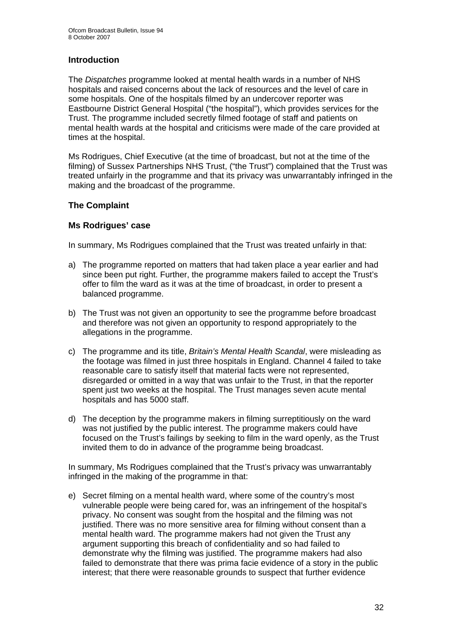## **Introduction**

The *Dispatches* programme looked at mental health wards in a number of NHS hospitals and raised concerns about the lack of resources and the level of care in some hospitals. One of the hospitals filmed by an undercover reporter was Eastbourne District General Hospital ("the hospital"), which provides services for the Trust. The programme included secretly filmed footage of staff and patients on mental health wards at the hospital and criticisms were made of the care provided at times at the hospital.

Ms Rodrigues, Chief Executive (at the time of broadcast, but not at the time of the filming) of Sussex Partnerships NHS Trust, ("the Trust") complained that the Trust was treated unfairly in the programme and that its privacy was unwarrantably infringed in the making and the broadcast of the programme.

## **The Complaint**

## **Ms Rodrigues' case**

In summary, Ms Rodrigues complained that the Trust was treated unfairly in that:

- a) The programme reported on matters that had taken place a year earlier and had since been put right. Further, the programme makers failed to accept the Trust's offer to film the ward as it was at the time of broadcast, in order to present a balanced programme.
- b) The Trust was not given an opportunity to see the programme before broadcast and therefore was not given an opportunity to respond appropriately to the allegations in the programme.
- c) The programme and its title, *Britain's Mental Health Scandal*, were misleading as the footage was filmed in just three hospitals in England. Channel 4 failed to take reasonable care to satisfy itself that material facts were not represented, disregarded or omitted in a way that was unfair to the Trust, in that the reporter spent just two weeks at the hospital. The Trust manages seven acute mental hospitals and has 5000 staff.
- d) The deception by the programme makers in filming surreptitiously on the ward was not justified by the public interest. The programme makers could have focused on the Trust's failings by seeking to film in the ward openly, as the Trust invited them to do in advance of the programme being broadcast.

In summary, Ms Rodrigues complained that the Trust's privacy was unwarrantably infringed in the making of the programme in that:

e) Secret filming on a mental health ward, where some of the country's most vulnerable people were being cared for, was an infringement of the hospital's privacy. No consent was sought from the hospital and the filming was not justified. There was no more sensitive area for filming without consent than a mental health ward. The programme makers had not given the Trust any argument supporting this breach of confidentiality and so had failed to demonstrate why the filming was justified. The programme makers had also failed to demonstrate that there was prima facie evidence of a story in the public interest; that there were reasonable grounds to suspect that further evidence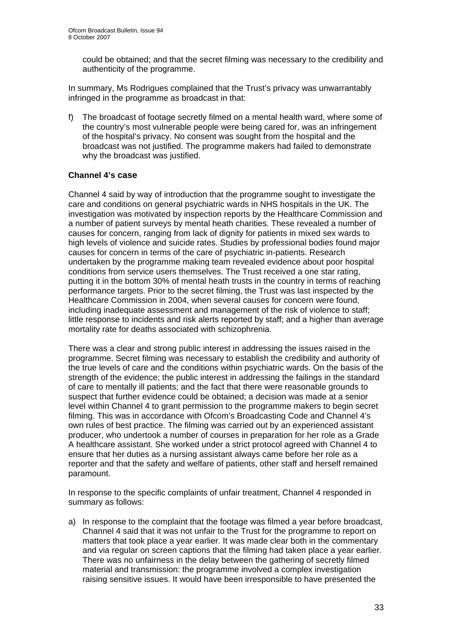could be obtained; and that the secret filming was necessary to the credibility and authenticity of the programme.

In summary, Ms Rodrigues complained that the Trust's privacy was unwarrantably infringed in the programme as broadcast in that:

f) The broadcast of footage secretly filmed on a mental health ward, where some of the country's most vulnerable people were being cared for, was an infringement of the hospital's privacy. No consent was sought from the hospital and the broadcast was not justified. The programme makers had failed to demonstrate why the broadcast was justified.

## **Channel 4's case**

Channel 4 said by way of introduction that the programme sought to investigate the care and conditions on general psychiatric wards in NHS hospitals in the UK. The investigation was motivated by inspection reports by the Healthcare Commission and a number of patient surveys by mental heath charities. These revealed a number of causes for concern, ranging from lack of dignity for patients in mixed sex wards to high levels of violence and suicide rates. Studies by professional bodies found major causes for concern in terms of the care of psychiatric in-patients. Research undertaken by the programme making team revealed evidence about poor hospital conditions from service users themselves. The Trust received a one star rating, putting it in the bottom 30% of mental heath trusts in the country in terms of reaching performance targets. Prior to the secret filming, the Trust was last inspected by the Healthcare Commission in 2004, when several causes for concern were found, including inadequate assessment and management of the risk of violence to staff; little response to incidents and risk alerts reported by staff; and a higher than average mortality rate for deaths associated with schizophrenia.

There was a clear and strong public interest in addressing the issues raised in the programme. Secret filming was necessary to establish the credibility and authority of the true levels of care and the conditions within psychiatric wards. On the basis of the strength of the evidence; the public interest in addressing the failings in the standard of care to mentally ill patients; and the fact that there were reasonable grounds to suspect that further evidence could be obtained; a decision was made at a senior level within Channel 4 to grant permission to the programme makers to begin secret filming. This was in accordance with Ofcom's Broadcasting Code and Channel 4's own rules of best practice. The filming was carried out by an experienced assistant producer, who undertook a number of courses in preparation for her role as a Grade A healthcare assistant. She worked under a strict protocol agreed with Channel 4 to ensure that her duties as a nursing assistant always came before her role as a reporter and that the safety and welfare of patients, other staff and herself remained paramount.

In response to the specific complaints of unfair treatment, Channel 4 responded in summary as follows:

a) In response to the complaint that the footage was filmed a year before broadcast, Channel 4 said that it was not unfair to the Trust for the programme to report on matters that took place a year earlier. It was made clear both in the commentary and via regular on screen captions that the filming had taken place a year earlier. There was no unfairness in the delay between the gathering of secretly filmed material and transmission: the programme involved a complex investigation raising sensitive issues. It would have been irresponsible to have presented the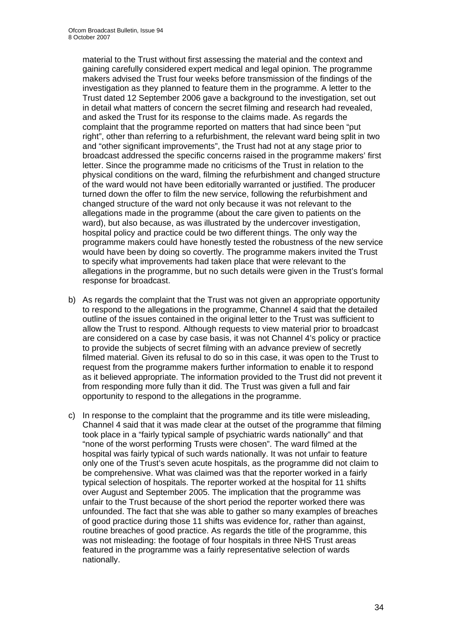material to the Trust without first assessing the material and the context and gaining carefully considered expert medical and legal opinion. The programme makers advised the Trust four weeks before transmission of the findings of the investigation as they planned to feature them in the programme. A letter to the Trust dated 12 September 2006 gave a background to the investigation, set out in detail what matters of concern the secret filming and research had revealed, and asked the Trust for its response to the claims made. As regards the complaint that the programme reported on matters that had since been "put right", other than referring to a refurbishment, the relevant ward being split in two and "other significant improvements", the Trust had not at any stage prior to broadcast addressed the specific concerns raised in the programme makers' first letter. Since the programme made no criticisms of the Trust in relation to the physical conditions on the ward, filming the refurbishment and changed structure of the ward would not have been editorially warranted or justified. The producer turned down the offer to film the new service, following the refurbishment and changed structure of the ward not only because it was not relevant to the allegations made in the programme (about the care given to patients on the ward), but also because, as was illustrated by the undercover investigation, hospital policy and practice could be two different things. The only way the programme makers could have honestly tested the robustness of the new service would have been by doing so covertly. The programme makers invited the Trust to specify what improvements had taken place that were relevant to the allegations in the programme, but no such details were given in the Trust's formal response for broadcast.

- b) As regards the complaint that the Trust was not given an appropriate opportunity to respond to the allegations in the programme, Channel 4 said that the detailed outline of the issues contained in the original letter to the Trust was sufficient to allow the Trust to respond. Although requests to view material prior to broadcast are considered on a case by case basis, it was not Channel 4's policy or practice to provide the subjects of secret filming with an advance preview of secretly filmed material. Given its refusal to do so in this case, it was open to the Trust to request from the programme makers further information to enable it to respond as it believed appropriate. The information provided to the Trust did not prevent it from responding more fully than it did. The Trust was given a full and fair opportunity to respond to the allegations in the programme.
- c) In response to the complaint that the programme and its title were misleading, Channel 4 said that it was made clear at the outset of the programme that filming took place in a "fairly typical sample of psychiatric wards nationally" and that "none of the worst performing Trusts were chosen". The ward filmed at the hospital was fairly typical of such wards nationally. It was not unfair to feature only one of the Trust's seven acute hospitals, as the programme did not claim to be comprehensive. What was claimed was that the reporter worked in a fairly typical selection of hospitals. The reporter worked at the hospital for 11 shifts over August and September 2005. The implication that the programme was unfair to the Trust because of the short period the reporter worked there was unfounded. The fact that she was able to gather so many examples of breaches of good practice during those 11 shifts was evidence for, rather than against, routine breaches of good practice. As regards the title of the programme, this was not misleading: the footage of four hospitals in three NHS Trust areas featured in the programme was a fairly representative selection of wards nationally.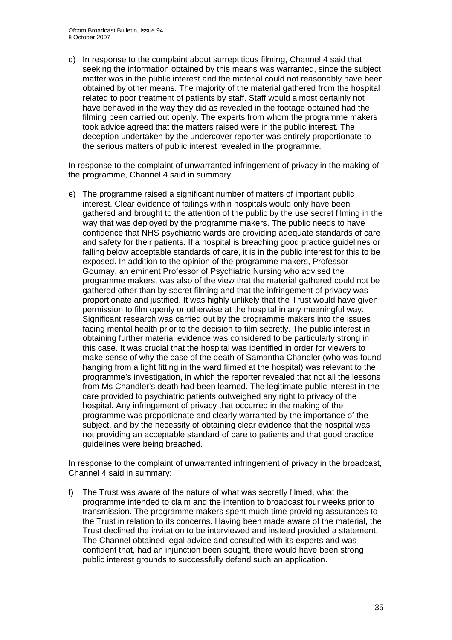d) In response to the complaint about surreptitious filming, Channel 4 said that seeking the information obtained by this means was warranted, since the subject matter was in the public interest and the material could not reasonably have been obtained by other means. The majority of the material gathered from the hospital related to poor treatment of patients by staff. Staff would almost certainly not have behaved in the way they did as revealed in the footage obtained had the filming been carried out openly. The experts from whom the programme makers took advice agreed that the matters raised were in the public interest. The deception undertaken by the undercover reporter was entirely proportionate to the serious matters of public interest revealed in the programme.

In response to the complaint of unwarranted infringement of privacy in the making of the programme, Channel 4 said in summary:

e) The programme raised a significant number of matters of important public interest. Clear evidence of failings within hospitals would only have been gathered and brought to the attention of the public by the use secret filming in the way that was deployed by the programme makers. The public needs to have confidence that NHS psychiatric wards are providing adequate standards of care and safety for their patients. If a hospital is breaching good practice guidelines or falling below acceptable standards of care, it is in the public interest for this to be exposed. In addition to the opinion of the programme makers, Professor Gournay, an eminent Professor of Psychiatric Nursing who advised the programme makers, was also of the view that the material gathered could not be gathered other than by secret filming and that the infringement of privacy was proportionate and justified. It was highly unlikely that the Trust would have given permission to film openly or otherwise at the hospital in any meaningful way. Significant research was carried out by the programme makers into the issues facing mental health prior to the decision to film secretly. The public interest in obtaining further material evidence was considered to be particularly strong in this case. It was crucial that the hospital was identified in order for viewers to make sense of why the case of the death of Samantha Chandler (who was found hanging from a light fitting in the ward filmed at the hospital) was relevant to the programme's investigation, in which the reporter revealed that not all the lessons from Ms Chandler's death had been learned. The legitimate public interest in the care provided to psychiatric patients outweighed any right to privacy of the hospital. Any infringement of privacy that occurred in the making of the programme was proportionate and clearly warranted by the importance of the subject, and by the necessity of obtaining clear evidence that the hospital was not providing an acceptable standard of care to patients and that good practice guidelines were being breached.

In response to the complaint of unwarranted infringement of privacy in the broadcast, Channel 4 said in summary:

f) The Trust was aware of the nature of what was secretly filmed, what the programme intended to claim and the intention to broadcast four weeks prior to transmission. The programme makers spent much time providing assurances to the Trust in relation to its concerns. Having been made aware of the material, the Trust declined the invitation to be interviewed and instead provided a statement. The Channel obtained legal advice and consulted with its experts and was confident that, had an injunction been sought, there would have been strong public interest grounds to successfully defend such an application.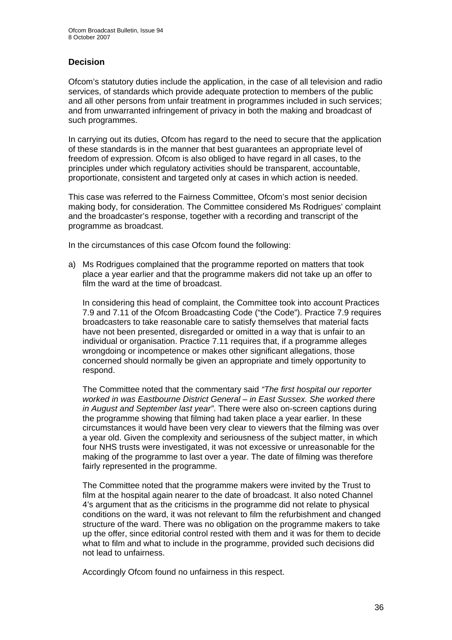## **Decision**

Ofcom's statutory duties include the application, in the case of all television and radio services, of standards which provide adequate protection to members of the public and all other persons from unfair treatment in programmes included in such services; and from unwarranted infringement of privacy in both the making and broadcast of such programmes.

In carrying out its duties, Ofcom has regard to the need to secure that the application of these standards is in the manner that best guarantees an appropriate level of freedom of expression. Ofcom is also obliged to have regard in all cases, to the principles under which regulatory activities should be transparent, accountable, proportionate, consistent and targeted only at cases in which action is needed.

This case was referred to the Fairness Committee, Ofcom's most senior decision making body, for consideration. The Committee considered Ms Rodrigues' complaint and the broadcaster's response, together with a recording and transcript of the programme as broadcast.

In the circumstances of this case Ofcom found the following:

a) Ms Rodrigues complained that the programme reported on matters that took place a year earlier and that the programme makers did not take up an offer to film the ward at the time of broadcast.

In considering this head of complaint, the Committee took into account Practices 7.9 and 7.11 of the Ofcom Broadcasting Code ("the Code"). Practice 7.9 requires broadcasters to take reasonable care to satisfy themselves that material facts have not been presented, disregarded or omitted in a way that is unfair to an individual or organisation. Practice 7.11 requires that, if a programme alleges wrongdoing or incompetence or makes other significant allegations, those concerned should normally be given an appropriate and timely opportunity to respond.

The Committee noted that the commentary said *"The first hospital our reporter worked in was Eastbourne District General – in East Sussex. She worked there in August and September last year"*. There were also on-screen captions during the programme showing that filming had taken place a year earlier. In these circumstances it would have been very clear to viewers that the filming was over a year old. Given the complexity and seriousness of the subject matter, in which four NHS trusts were investigated, it was not excessive or unreasonable for the making of the programme to last over a year. The date of filming was therefore fairly represented in the programme.

The Committee noted that the programme makers were invited by the Trust to film at the hospital again nearer to the date of broadcast. It also noted Channel 4's argument that as the criticisms in the programme did not relate to physical conditions on the ward, it was not relevant to film the refurbishment and changed structure of the ward. There was no obligation on the programme makers to take up the offer, since editorial control rested with them and it was for them to decide what to film and what to include in the programme, provided such decisions did not lead to unfairness.

Accordingly Ofcom found no unfairness in this respect.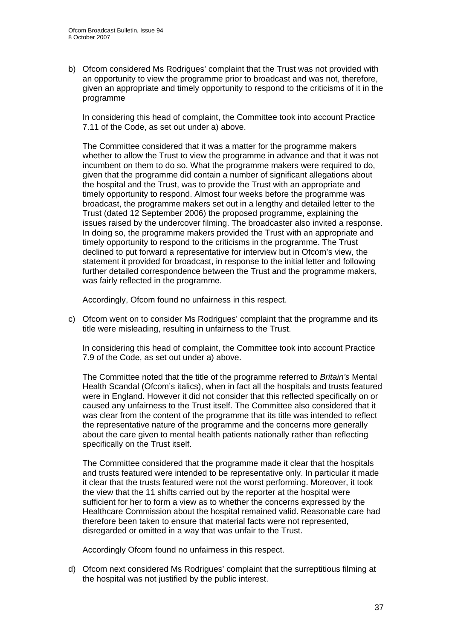b) Ofcom considered Ms Rodrigues' complaint that the Trust was not provided with an opportunity to view the programme prior to broadcast and was not, therefore, given an appropriate and timely opportunity to respond to the criticisms of it in the programme

In considering this head of complaint, the Committee took into account Practice 7.11 of the Code, as set out under a) above.

The Committee considered that it was a matter for the programme makers whether to allow the Trust to view the programme in advance and that it was not incumbent on them to do so. What the programme makers were required to do, given that the programme did contain a number of significant allegations about the hospital and the Trust, was to provide the Trust with an appropriate and timely opportunity to respond. Almost four weeks before the programme was broadcast, the programme makers set out in a lengthy and detailed letter to the Trust (dated 12 September 2006) the proposed programme, explaining the issues raised by the undercover filming. The broadcaster also invited a response. In doing so, the programme makers provided the Trust with an appropriate and timely opportunity to respond to the criticisms in the programme. The Trust declined to put forward a representative for interview but in Ofcom's view, the statement it provided for broadcast, in response to the initial letter and following further detailed correspondence between the Trust and the programme makers, was fairly reflected in the programme.

Accordingly, Ofcom found no unfairness in this respect.

c) Ofcom went on to consider Ms Rodrigues' complaint that the programme and its title were misleading, resulting in unfairness to the Trust.

In considering this head of complaint, the Committee took into account Practice 7.9 of the Code, as set out under a) above.

The Committee noted that the title of the programme referred to *Britain's* Mental Health Scandal (Ofcom's italics), when in fact all the hospitals and trusts featured were in England. However it did not consider that this reflected specifically on or caused any unfairness to the Trust itself. The Committee also considered that it was clear from the content of the programme that its title was intended to reflect the representative nature of the programme and the concerns more generally about the care given to mental health patients nationally rather than reflecting specifically on the Trust itself.

The Committee considered that the programme made it clear that the hospitals and trusts featured were intended to be representative only. In particular it made it clear that the trusts featured were not the worst performing. Moreover, it took the view that the 11 shifts carried out by the reporter at the hospital were sufficient for her to form a view as to whether the concerns expressed by the Healthcare Commission about the hospital remained valid. Reasonable care had therefore been taken to ensure that material facts were not represented, disregarded or omitted in a way that was unfair to the Trust.

Accordingly Ofcom found no unfairness in this respect.

d) Ofcom next considered Ms Rodrigues' complaint that the surreptitious filming at the hospital was not justified by the public interest.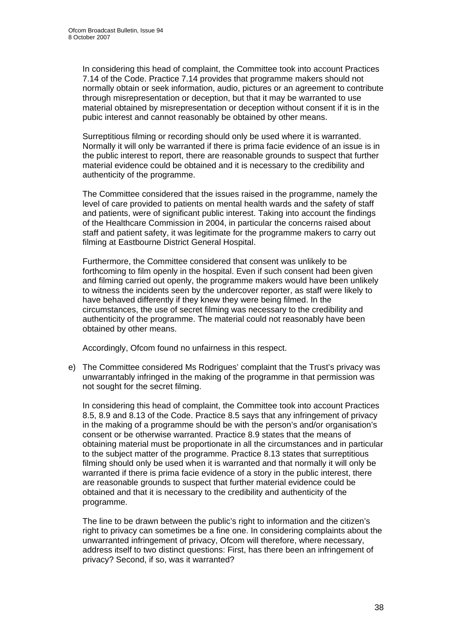In considering this head of complaint, the Committee took into account Practices 7.14 of the Code. Practice 7.14 provides that programme makers should not normally obtain or seek information, audio, pictures or an agreement to contribute through misrepresentation or deception, but that it may be warranted to use material obtained by misrepresentation or deception without consent if it is in the pubic interest and cannot reasonably be obtained by other means.

Surreptitious filming or recording should only be used where it is warranted. Normally it will only be warranted if there is prima facie evidence of an issue is in the public interest to report, there are reasonable grounds to suspect that further material evidence could be obtained and it is necessary to the credibility and authenticity of the programme.

The Committee considered that the issues raised in the programme, namely the level of care provided to patients on mental health wards and the safety of staff and patients, were of significant public interest. Taking into account the findings of the Healthcare Commission in 2004, in particular the concerns raised about staff and patient safety, it was legitimate for the programme makers to carry out filming at Eastbourne District General Hospital.

Furthermore, the Committee considered that consent was unlikely to be forthcoming to film openly in the hospital. Even if such consent had been given and filming carried out openly, the programme makers would have been unlikely to witness the incidents seen by the undercover reporter, as staff were likely to have behaved differently if they knew they were being filmed. In the circumstances, the use of secret filming was necessary to the credibility and authenticity of the programme. The material could not reasonably have been obtained by other means.

Accordingly, Ofcom found no unfairness in this respect.

e) The Committee considered Ms Rodrigues' complaint that the Trust's privacy was unwarrantably infringed in the making of the programme in that permission was not sought for the secret filming.

In considering this head of complaint, the Committee took into account Practices 8.5, 8.9 and 8.13 of the Code. Practice 8.5 says that any infringement of privacy in the making of a programme should be with the person's and/or organisation's consent or be otherwise warranted. Practice 8.9 states that the means of obtaining material must be proportionate in all the circumstances and in particular to the subject matter of the programme. Practice 8.13 states that surreptitious filming should only be used when it is warranted and that normally it will only be warranted if there is prima facie evidence of a story in the public interest, there are reasonable grounds to suspect that further material evidence could be obtained and that it is necessary to the credibility and authenticity of the programme.

The line to be drawn between the public's right to information and the citizen's right to privacy can sometimes be a fine one. In considering complaints about the unwarranted infringement of privacy, Ofcom will therefore, where necessary, address itself to two distinct questions: First, has there been an infringement of privacy? Second, if so, was it warranted?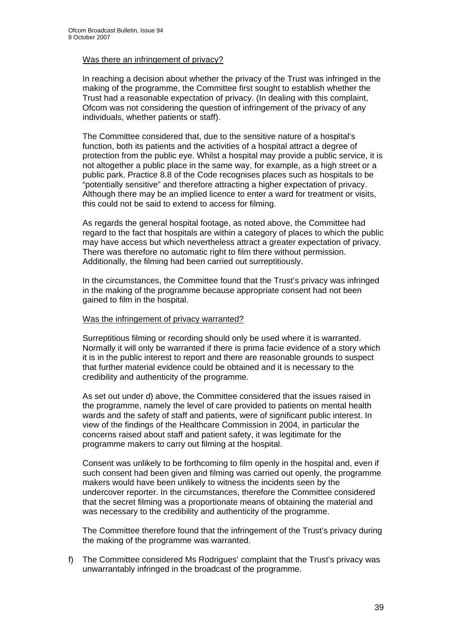## Was there an infringement of privacy?

In reaching a decision about whether the privacy of the Trust was infringed in the making of the programme, the Committee first sought to establish whether the Trust had a reasonable expectation of privacy. (In dealing with this complaint, Ofcom was not considering the question of infringement of the privacy of any individuals, whether patients or staff).

The Committee considered that, due to the sensitive nature of a hospital's function, both its patients and the activities of a hospital attract a degree of protection from the public eye. Whilst a hospital may provide a public service, it is not altogether a public place in the same way, for example, as a high street or a public park. Practice 8.8 of the Code recognises places such as hospitals to be "potentially sensitive" and therefore attracting a higher expectation of privacy. Although there may be an implied licence to enter a ward for treatment or visits, this could not be said to extend to access for filming.

As regards the general hospital footage, as noted above, the Committee had regard to the fact that hospitals are within a category of places to which the public may have access but which nevertheless attract a greater expectation of privacy. There was therefore no automatic right to film there without permission. Additionally, the filming had been carried out surreptitiously.

In the circumstances, the Committee found that the Trust's privacy was infringed in the making of the programme because appropriate consent had not been gained to film in the hospital.

#### Was the infringement of privacy warranted?

Surreptitious filming or recording should only be used where it is warranted. Normally it will only be warranted if there is prima facie evidence of a story which it is in the public interest to report and there are reasonable grounds to suspect that further material evidence could be obtained and it is necessary to the credibility and authenticity of the programme.

As set out under d) above, the Committee considered that the issues raised in the programme, namely the level of care provided to patients on mental health wards and the safety of staff and patients, were of significant public interest. In view of the findings of the Healthcare Commission in 2004, in particular the concerns raised about staff and patient safety, it was legitimate for the programme makers to carry out filming at the hospital.

Consent was unlikely to be forthcoming to film openly in the hospital and, even if such consent had been given and filming was carried out openly, the programme makers would have been unlikely to witness the incidents seen by the undercover reporter. In the circumstances, therefore the Committee considered that the secret filming was a proportionate means of obtaining the material and was necessary to the credibility and authenticity of the programme.

The Committee therefore found that the infringement of the Trust's privacy during the making of the programme was warranted.

f) The Committee considered Ms Rodrigues' complaint that the Trust's privacy was unwarrantably infringed in the broadcast of the programme.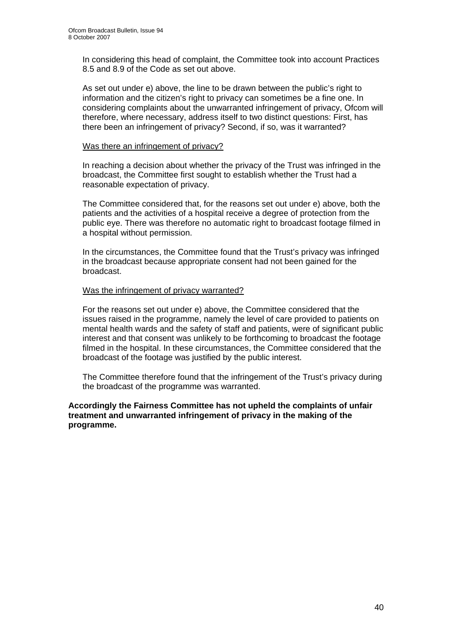In considering this head of complaint, the Committee took into account Practices 8.5 and 8.9 of the Code as set out above.

As set out under e) above, the line to be drawn between the public's right to information and the citizen's right to privacy can sometimes be a fine one. In considering complaints about the unwarranted infringement of privacy, Ofcom will therefore, where necessary, address itself to two distinct questions: First, has there been an infringement of privacy? Second, if so, was it warranted?

#### Was there an infringement of privacy?

In reaching a decision about whether the privacy of the Trust was infringed in the broadcast, the Committee first sought to establish whether the Trust had a reasonable expectation of privacy.

The Committee considered that, for the reasons set out under e) above, both the patients and the activities of a hospital receive a degree of protection from the public eye. There was therefore no automatic right to broadcast footage filmed in a hospital without permission.

In the circumstances, the Committee found that the Trust's privacy was infringed in the broadcast because appropriate consent had not been gained for the broadcast.

## Was the infringement of privacy warranted?

For the reasons set out under e) above, the Committee considered that the issues raised in the programme, namely the level of care provided to patients on mental health wards and the safety of staff and patients, were of significant public interest and that consent was unlikely to be forthcoming to broadcast the footage filmed in the hospital. In these circumstances, the Committee considered that the broadcast of the footage was justified by the public interest.

The Committee therefore found that the infringement of the Trust's privacy during the broadcast of the programme was warranted.

## **Accordingly the Fairness Committee has not upheld the complaints of unfair treatment and unwarranted infringement of privacy in the making of the programme.**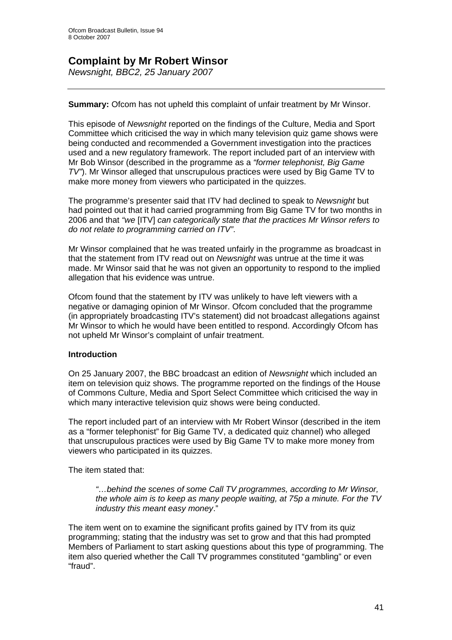## **Complaint by Mr Robert Winsor**

*Newsnight, BBC2, 25 January 2007* 

## **Summary:** Ofcom has not upheld this complaint of unfair treatment by Mr Winsor.

This episode of *Newsnight* reported on the findings of the Culture, Media and Sport Committee which criticised the way in which many television quiz game shows were being conducted and recommended a Government investigation into the practices used and a new regulatory framework. The report included part of an interview with Mr Bob Winsor (described in the programme as a *"former telephonist, Big Game TV"*). Mr Winsor alleged that unscrupulous practices were used by Big Game TV to make more money from viewers who participated in the quizzes.

The programme's presenter said that ITV had declined to speak to *Newsnight* but had pointed out that it had carried programming from Big Game TV for two months in 2006 and that *"we* [ITV] *can categorically state that the practices Mr Winsor refers to do not relate to programming carried on ITV"*.

Mr Winsor complained that he was treated unfairly in the programme as broadcast in that the statement from ITV read out on *Newsnight* was untrue at the time it was made. Mr Winsor said that he was not given an opportunity to respond to the implied allegation that his evidence was untrue.

Ofcom found that the statement by ITV was unlikely to have left viewers with a negative or damaging opinion of Mr Winsor. Ofcom concluded that the programme (in appropriately broadcasting ITV's statement) did not broadcast allegations against Mr Winsor to which he would have been entitled to respond. Accordingly Ofcom has not upheld Mr Winsor's complaint of unfair treatment.

## **Introduction**

On 25 January 2007, the BBC broadcast an edition of *Newsnight* which included an item on television quiz shows. The programme reported on the findings of the House of Commons Culture, Media and Sport Select Committee which criticised the way in which many interactive television quiz shows were being conducted.

The report included part of an interview with Mr Robert Winsor (described in the item as a "former telephonist" for Big Game TV, a dedicated quiz channel) who alleged that unscrupulous practices were used by Big Game TV to make more money from viewers who participated in its quizzes.

The item stated that:

*"…behind the scenes of some Call TV programmes, according to Mr Winsor, the whole aim is to keep as many people waiting, at 75p a minute. For the TV industry this meant easy money*."

The item went on to examine the significant profits gained by ITV from its quiz programming; stating that the industry was set to grow and that this had prompted Members of Parliament to start asking questions about this type of programming. The item also queried whether the Call TV programmes constituted "gambling" or even "fraud".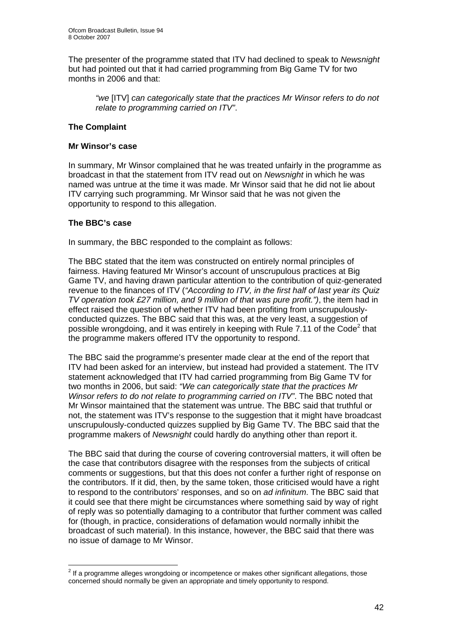The presenter of the programme stated that ITV had declined to speak to *Newsnight* but had pointed out that it had carried programming from Big Game TV for two months in 2006 and that:

*"we* [ITV] *can categorically state that the practices Mr Winsor refers to do not relate to programming carried on ITV"*.

## **The Complaint**

## **Mr Winsor's case**

In summary, Mr Winsor complained that he was treated unfairly in the programme as broadcast in that the statement from ITV read out on *Newsnight* in which he was named was untrue at the time it was made. Mr Winsor said that he did not lie about ITV carrying such programming. Mr Winsor said that he was not given the opportunity to respond to this allegation.

## **The BBC's case**

In summary, the BBC responded to the complaint as follows:

The BBC stated that the item was constructed on entirely normal principles of fairness. Having featured Mr Winsor's account of unscrupulous practices at Big Game TV, and having drawn particular attention to the contribution of quiz-generated revenue to the finances of ITV (*"According to ITV, in the first half of last year its Quiz TV operation took £27 million, and 9 million of that was pure profit.")*, the item had in effect raised the question of whether ITV had been profiting from unscrupulouslyconducted quizzes. The BBC said that this was, at the very least, a suggestion of possible wrongdoing, and it was entirely in keeping with Rule 7.11 of the Code<sup>2</sup> that the programme makers offered ITV the opportunity to respond.

The BBC said the programme's presenter made clear at the end of the report that ITV had been asked for an interview, but instead had provided a statement. The ITV statement acknowledged that ITV had carried programming from Big Game TV for two months in 2006, but said: *"We can categorically state that the practices Mr Winsor refers to do not relate to programming carried on ITV"*. The BBC noted that Mr Winsor maintained that the statement was untrue. The BBC said that truthful or not, the statement was ITV's response to the suggestion that it might have broadcast unscrupulously-conducted quizzes supplied by Big Game TV. The BBC said that the programme makers of *Newsnight* could hardly do anything other than report it.

The BBC said that during the course of covering controversial matters, it will often be the case that contributors disagree with the responses from the subjects of critical comments or suggestions, but that this does not confer a further right of response on the contributors. If it did, then, by the same token, those criticised would have a right to respond to the contributors' responses, and so on *ad infinitum*. The BBC said that it could see that there might be circumstances where something said by way of right of reply was so potentially damaging to a contributor that further comment was called for (though, in practice, considerations of defamation would normally inhibit the broadcast of such material). In this instance, however, the BBC said that there was no issue of damage to Mr Winsor.

er and the metal control of the product of the product of the programme allegations, those  $^2$  If a programme alleges wrongdoing or incompetence or makes other significant allegations, those concerned should normally be given an appropriate and timely opportunity to respond.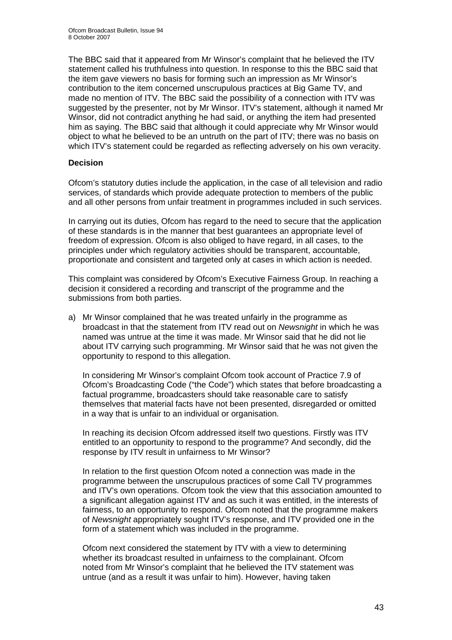The BBC said that it appeared from Mr Winsor's complaint that he believed the ITV statement called his truthfulness into question. In response to this the BBC said that the item gave viewers no basis for forming such an impression as Mr Winsor's contribution to the item concerned unscrupulous practices at Big Game TV, and made no mention of ITV. The BBC said the possibility of a connection with ITV was suggested by the presenter, not by Mr Winsor. ITV's statement, although it named Mr Winsor, did not contradict anything he had said, or anything the item had presented him as saying. The BBC said that although it could appreciate why Mr Winsor would object to what he believed to be an untruth on the part of ITV; there was no basis on which ITV's statement could be regarded as reflecting adversely on his own veracity.

## **Decision**

Ofcom's statutory duties include the application, in the case of all television and radio services, of standards which provide adequate protection to members of the public and all other persons from unfair treatment in programmes included in such services.

In carrying out its duties, Ofcom has regard to the need to secure that the application of these standards is in the manner that best guarantees an appropriate level of freedom of expression. Ofcom is also obliged to have regard, in all cases, to the principles under which regulatory activities should be transparent, accountable, proportionate and consistent and targeted only at cases in which action is needed.

This complaint was considered by Ofcom's Executive Fairness Group. In reaching a decision it considered a recording and transcript of the programme and the submissions from both parties.

a) Mr Winsor complained that he was treated unfairly in the programme as broadcast in that the statement from ITV read out on *Newsnight* in which he was named was untrue at the time it was made. Mr Winsor said that he did not lie about ITV carrying such programming. Mr Winsor said that he was not given the opportunity to respond to this allegation.

In considering Mr Winsor's complaint Ofcom took account of Practice 7.9 of Ofcom's Broadcasting Code ("the Code") which states that before broadcasting a factual programme, broadcasters should take reasonable care to satisfy themselves that material facts have not been presented, disregarded or omitted in a way that is unfair to an individual or organisation.

In reaching its decision Ofcom addressed itself two questions. Firstly was ITV entitled to an opportunity to respond to the programme? And secondly, did the response by ITV result in unfairness to Mr Winsor?

In relation to the first question Ofcom noted a connection was made in the programme between the unscrupulous practices of some Call TV programmes and ITV's own operations. Ofcom took the view that this association amounted to a significant allegation against ITV and as such it was entitled, in the interests of fairness, to an opportunity to respond. Ofcom noted that the programme makers of *Newsnight* appropriately sought ITV's response, and ITV provided one in the form of a statement which was included in the programme.

Ofcom next considered the statement by ITV with a view to determining whether its broadcast resulted in unfairness to the complainant. Ofcom noted from Mr Winsor's complaint that he believed the ITV statement was untrue (and as a result it was unfair to him). However, having taken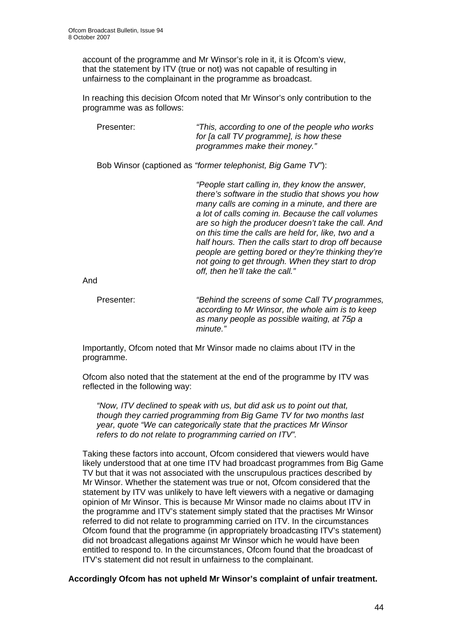account of the programme and Mr Winsor's role in it, it is Ofcom's view, that the statement by ITV (true or not) was not capable of resulting in unfairness to the complainant in the programme as broadcast.

In reaching this decision Ofcom noted that Mr Winsor's only contribution to the programme was as follows:

Presenter: *"This, according to one of the people who works for [a call TV programme], is how these programmes make their money."* 

Bob Winsor (captioned as *"former telephonist, Big Game TV"*):

*"People start calling in, they know the answer, there's software in the studio that shows you how many calls are coming in a minute, and there are a lot of calls coming in. Because the call volumes are so high the producer doesn't take the call. And on this time the calls are held for, like, two and a half hours. Then the calls start to drop off because people are getting bored or they're thinking they're not going to get through. When they start to drop off, then he'll take the call."* 

And

Presenter: *"Behind the screens of some Call TV programmes, according to Mr Winsor, the whole aim is to keep as many people as possible waiting, at 75p a minute."*

Importantly, Ofcom noted that Mr Winsor made no claims about ITV in the programme.

Ofcom also noted that the statement at the end of the programme by ITV was reflected in the following way:

*"Now, ITV declined to speak with us, but did ask us to point out that, though they carried programming from Big Game TV for two months last year, quote "We can categorically state that the practices Mr Winsor refers to do not relate to programming carried on ITV".*

 Taking these factors into account, Ofcom considered that viewers would have likely understood that at one time ITV had broadcast programmes from Big Game TV but that it was not associated with the unscrupulous practices described by Mr Winsor. Whether the statement was true or not, Ofcom considered that the statement by ITV was unlikely to have left viewers with a negative or damaging opinion of Mr Winsor. This is because Mr Winsor made no claims about ITV in the programme and ITV's statement simply stated that the practises Mr Winsor referred to did not relate to programming carried on ITV. In the circumstances Ofcom found that the programme (in appropriately broadcasting ITV's statement) did not broadcast allegations against Mr Winsor which he would have been entitled to respond to. In the circumstances, Ofcom found that the broadcast of ITV's statement did not result in unfairness to the complainant.

**Accordingly Ofcom has not upheld Mr Winsor's complaint of unfair treatment.**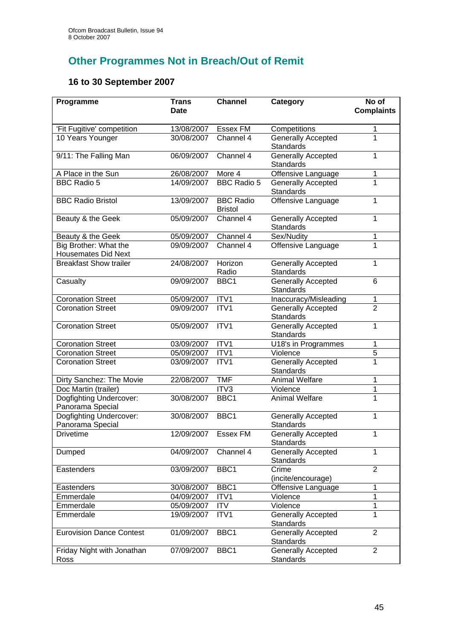# **Other Programmes Not in Breach/Out of Remit**

## **16 to 30 September 2007**

| Programme                                           | <b>Trans</b> | <b>Channel</b>                     | Category                                      | No of             |
|-----------------------------------------------------|--------------|------------------------------------|-----------------------------------------------|-------------------|
|                                                     | <b>Date</b>  |                                    |                                               | <b>Complaints</b> |
| 'Fit Fugitive' competition                          | 13/08/2007   | Essex FM                           | Competitions                                  | 1                 |
| 10 Years Younger                                    | 30/08/2007   | Channel 4                          | <b>Generally Accepted</b><br><b>Standards</b> | $\overline{1}$    |
| 9/11: The Falling Man                               | 06/09/2007   | Channel 4                          | <b>Generally Accepted</b><br><b>Standards</b> | 1                 |
| A Place in the Sun                                  | 26/08/2007   | More 4                             | Offensive Language                            | 1                 |
| <b>BBC Radio 5</b>                                  | 14/09/2007   | <b>BBC Radio 5</b>                 | <b>Generally Accepted</b><br><b>Standards</b> | $\overline{1}$    |
| <b>BBC Radio Bristol</b>                            | 13/09/2007   | <b>BBC Radio</b><br><b>Bristol</b> | Offensive Language                            | 1                 |
| Beauty & the Geek                                   | 05/09/2007   | Channel 4                          | <b>Generally Accepted</b><br><b>Standards</b> | 1                 |
| Beauty & the Geek                                   | 05/09/2007   | Channel 4                          | Sex/Nudity                                    | $\mathbf 1$       |
| Big Brother: What the<br><b>Housemates Did Next</b> | 09/09/2007   | Channel 4                          | Offensive Language                            | $\overline{1}$    |
| <b>Breakfast Show trailer</b>                       | 24/08/2007   | Horizon<br>Radio                   | <b>Generally Accepted</b><br><b>Standards</b> | 1                 |
| Casualty                                            | 09/09/2007   | BBC1                               | Generally Accepted<br><b>Standards</b>        | 6                 |
| <b>Coronation Street</b>                            | 05/09/2007   | ITV1                               | Inaccuracy/Misleading                         | $\mathbf{1}$      |
| <b>Coronation Street</b>                            | 09/09/2007   | ITV1                               | <b>Generally Accepted</b><br>Standards        | $\overline{2}$    |
| <b>Coronation Street</b>                            | 05/09/2007   | ITV1                               | <b>Generally Accepted</b><br><b>Standards</b> | 1                 |
| <b>Coronation Street</b>                            | 03/09/2007   | ITV1                               | U18's in Programmes                           | 1                 |
| <b>Coronation Street</b>                            | 05/09/2007   | ITV1                               | Violence                                      | $\overline{5}$    |
| <b>Coronation Street</b>                            | 03/09/2007   | ITV1                               | <b>Generally Accepted</b><br><b>Standards</b> | $\overline{1}$    |
| Dirty Sanchez: The Movie                            | 22/08/2007   | <b>TMF</b>                         | <b>Animal Welfare</b>                         | 1                 |
| Doc Martin (trailer)                                |              | ITV3                               | Violence                                      | 1                 |
| Dogfighting Undercover:<br>Panorama Special         | 30/08/2007   | BBC1                               | <b>Animal Welfare</b>                         | $\mathbf{1}$      |
| Dogfighting Undercover:<br>Panorama Special         | 30/08/2007   | BBC1                               | <b>Generally Accepted</b><br><b>Standards</b> | 1                 |
| <b>Drivetime</b>                                    | 12/09/2007   | Essex FM                           | <b>Generally Accepted</b><br>Standards        | 1                 |
| Dumped                                              | 04/09/2007   | Channel 4                          | <b>Generally Accepted</b><br>Standards        | 1                 |
| Eastenders                                          | 03/09/2007   | BBC1                               | Crime<br>(incite/encourage)                   | $\overline{2}$    |
| Eastenders                                          | 30/08/2007   | BBC1                               | Offensive Language                            | 1                 |
| Emmerdale                                           | 04/09/2007   | ITV1                               | Violence                                      | $\overline{1}$    |
| Emmerdale                                           | 05/09/2007   | <b>ITV</b>                         | Violence                                      | 1                 |
| Emmerdale                                           | 19/09/2007   | ITV1                               | <b>Generally Accepted</b><br><b>Standards</b> | $\overline{1}$    |
| <b>Eurovision Dance Contest</b>                     | 01/09/2007   | BBC1                               | <b>Generally Accepted</b><br>Standards        | $\overline{2}$    |
| Friday Night with Jonathan<br>Ross                  | 07/09/2007   | BBC1                               | <b>Generally Accepted</b><br><b>Standards</b> | $\overline{2}$    |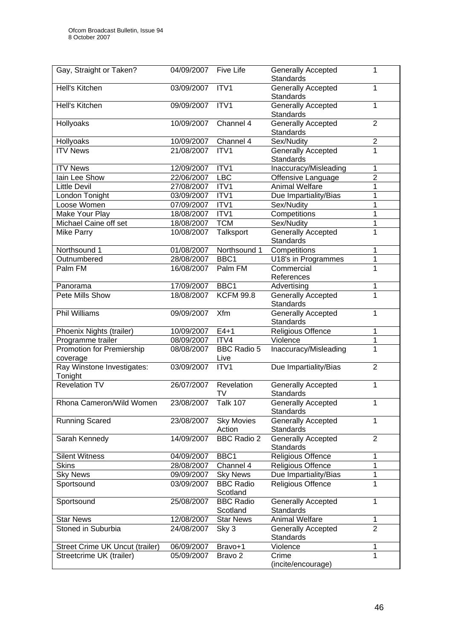| Gay, Straight or Taken?                      | 04/09/2007 | <b>Five Life</b>             | <b>Generally Accepted</b><br><b>Standards</b> | 1              |
|----------------------------------------------|------------|------------------------------|-----------------------------------------------|----------------|
| Hell's Kitchen                               | 03/09/2007 | ITV1                         | <b>Generally Accepted</b><br><b>Standards</b> | 1              |
| Hell's Kitchen                               | 09/09/2007 | ITV1                         | <b>Generally Accepted</b><br><b>Standards</b> | 1              |
| Hollyoaks                                    | 10/09/2007 | Channel 4                    | <b>Generally Accepted</b><br><b>Standards</b> | $\overline{2}$ |
| Hollyoaks                                    | 10/09/2007 | Channel 4                    | Sex/Nudity                                    | $\mathbf 2$    |
| <b>ITV News</b>                              | 21/08/2007 | ITV <sub>1</sub>             | <b>Generally Accepted</b><br><b>Standards</b> | $\overline{1}$ |
| <b>ITV News</b>                              | 12/09/2007 | ITV1                         | Inaccuracy/Misleading                         | 1              |
| lain Lee Show                                | 22/06/2007 | <b>LBC</b>                   | Offensive Language                            | $\overline{2}$ |
| <b>Little Devil</b>                          | 27/08/2007 | ITV1                         | <b>Animal Welfare</b>                         | 1              |
| London Tonight                               | 03/09/2007 | ITV1                         | Due Impartiality/Bias                         | 1              |
| Loose Women                                  | 07/09/2007 | ITV1                         | Sex/Nudity                                    | 1              |
| Make Your Play                               | 18/08/2007 | ITV1                         | Competitions                                  | 1              |
| Michael Caine off set                        | 18/08/2007 | <b>TCM</b>                   | Sex/Nudity                                    | 1              |
| Mike Parry                                   | 10/08/2007 | Talksport                    | <b>Generally Accepted</b><br><b>Standards</b> | $\overline{1}$ |
| Northsound 1                                 | 01/08/2007 | Northsound 1                 | Competitions                                  | 1              |
| Outnumbered                                  | 28/08/2007 | BBC1                         | U18's in Programmes                           | 1              |
| Palm FM                                      | 16/08/2007 | Palm FM                      | Commercial<br>References                      | 1              |
| Panorama                                     | 17/09/2007 | BBC1                         | Advertising                                   | 1              |
| Pete Mills Show                              | 18/08/2007 | <b>KCFM 99.8</b>             | Generally Accepted<br><b>Standards</b>        | $\overline{1}$ |
| <b>Phil Williams</b>                         | 09/09/2007 | Xfm                          | <b>Generally Accepted</b><br>Standards        | 1              |
| Phoenix Nights (trailer)                     | 10/09/2007 | $E4+1$                       | Religious Offence                             | 1              |
| Programme trailer                            | 08/09/2007 | ITV4                         | Violence                                      | $\mathbf{1}$   |
| <b>Promotion for Premiership</b><br>coverage | 08/08/2007 | <b>BBC Radio 5</b><br>Live   | Inaccuracy/Misleading                         | 1              |
| Ray Winstone Investigates:<br>Tonight        | 03/09/2007 | ITV1                         | Due Impartiality/Bias                         | $\overline{2}$ |
| <b>Revelation TV</b>                         | 26/07/2007 | Revelation<br>TV             | Generally Accepted<br><b>Standards</b>        | 1              |
| Rhona Cameron/Wild Women                     | 23/08/2007 | <b>Talk 107</b>              | <b>Generally Accepted</b><br><b>Standards</b> | $\mathbf{1}$   |
| <b>Running Scared</b>                        | 23/08/2007 | <b>Sky Movies</b><br>Action  | <b>Generally Accepted</b><br><b>Standards</b> | 1              |
| Sarah Kennedy                                | 14/09/2007 | <b>BBC Radio 2</b>           | <b>Generally Accepted</b><br><b>Standards</b> | $\overline{2}$ |
| <b>Silent Witness</b>                        | 04/09/2007 | BBC1                         | Religious Offence                             | 1              |
| <b>Skins</b>                                 | 28/08/2007 | Channel 4                    | Religious Offence                             | $\mathbf 1$    |
| <b>Sky News</b>                              | 09/09/2007 | <b>Sky News</b>              | Due Impartiality/Bias                         | $\mathbf 1$    |
| Sportsound                                   | 03/09/2007 | <b>BBC Radio</b><br>Scotland | Religious Offence                             | $\mathbf{1}$   |
| Sportsound                                   | 25/08/2007 | <b>BBC Radio</b><br>Scotland | <b>Generally Accepted</b><br><b>Standards</b> | 1              |
| <b>Star News</b>                             | 12/08/2007 | <b>Star News</b>             | <b>Animal Welfare</b>                         | 1              |
| Stoned in Suburbia                           | 24/08/2007 | Sky 3                        | <b>Generally Accepted</b><br><b>Standards</b> | $\overline{2}$ |
| Street Crime UK Uncut (trailer)              | 06/09/2007 | Bravo+1                      | Violence                                      | 1              |
| Streetcrime UK (trailer)                     | 05/09/2007 | Bravo <sub>2</sub>           | Crime<br>(incite/encourage)                   | 1              |